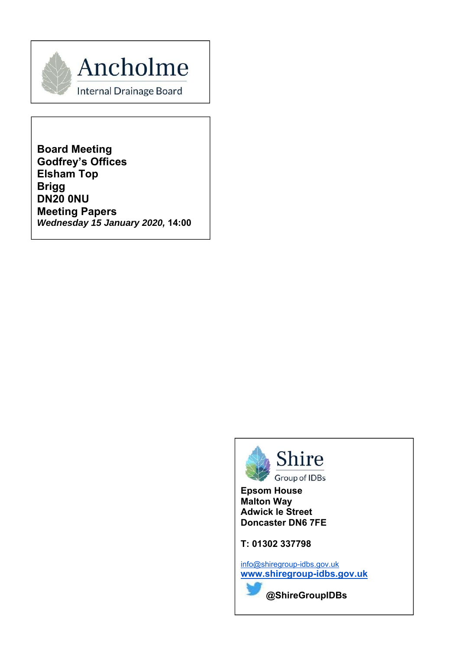

**Board Meeting Godfrey's Offices Elsham Top Brigg DN20 0NU Meeting Papers** *Wednesday 15 January 2020,* **14:00**



**Epsom House Malton Way Adwick le Street Doncaster DN6 7FE** 

**T: 01302 337798** 

info@shiregroup-idbs.gov.uk **www.shiregroup-idbs.gov.uk**

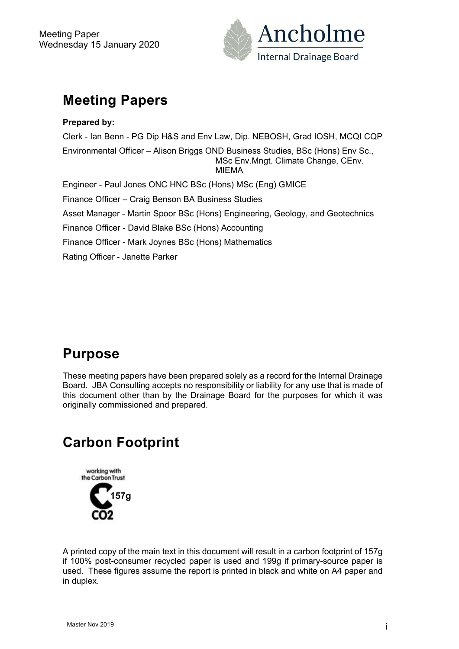

## **Meeting Papers**

**Prepared by:**  Clerk - Ian Benn - PG Dip H&S and Env Law, Dip. NEBOSH, Grad IOSH, MCQI CQP Environmental Officer – Alison Briggs OND Business Studies, BSc (Hons) Env Sc., MSc Env.Mngt. Climate Change, CEnv. MIEMA Engineer - Paul Jones ONC HNC BSc (Hons) MSc (Eng) GMICE Finance Officer – Craig Benson BA Business Studies Asset Manager - Martin Spoor BSc (Hons) Engineering, Geology, and Geotechnics Finance Officer - David Blake BSc (Hons) Accounting Finance Officer - Mark Joynes BSc (Hons) Mathematics

Rating Officer - Janette Parker

## **Purpose**

These meeting papers have been prepared solely as a record for the Internal Drainage Board. JBA Consulting accepts no responsibility or liability for any use that is made of this document other than by the Drainage Board for the purposes for which it was originally commissioned and prepared.

## **Carbon Footprint**



A printed copy of the main text in this document will result in a carbon footprint of 157g if 100% post-consumer recycled paper is used and 199g if primary-source paper is used. These figures assume the report is printed in black and white on A4 paper and in duplex.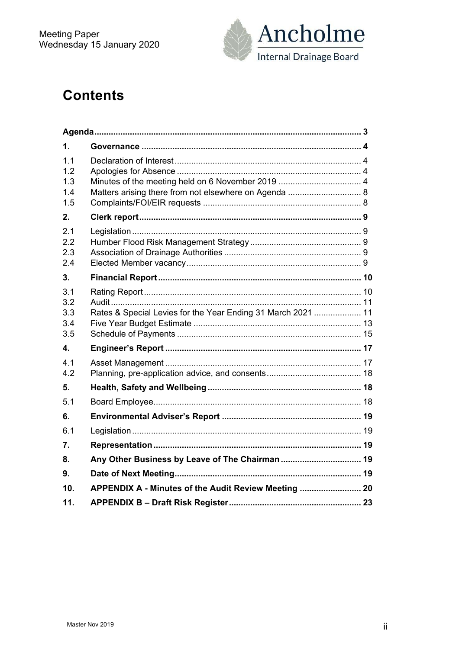

## **Contents**

| 1.                              |                                                              |  |
|---------------------------------|--------------------------------------------------------------|--|
| 1.1<br>12<br>1.3<br>1.4<br>1.5  | Matters arising there from not elsewhere on Agenda  8        |  |
| 2.                              |                                                              |  |
| 2.1<br>2.2<br>2.3<br>2.4        |                                                              |  |
| 3 <sub>1</sub>                  |                                                              |  |
| 3.1<br>3.2<br>3.3<br>3.4<br>3.5 | Rates & Special Levies for the Year Ending 31 March 2021  11 |  |
| 4.                              |                                                              |  |
| 4.1<br>4.2                      |                                                              |  |
| 5.                              |                                                              |  |
| 5.1                             |                                                              |  |
| 6.                              |                                                              |  |
| 6.1                             |                                                              |  |
| 7.                              |                                                              |  |
| 8.                              | Any Other Business by Leave of The Chairman  19              |  |
| 9.                              |                                                              |  |
| 10 <sub>1</sub>                 | APPENDIX A - Minutes of the Audit Review Meeting  20         |  |
| 11.                             |                                                              |  |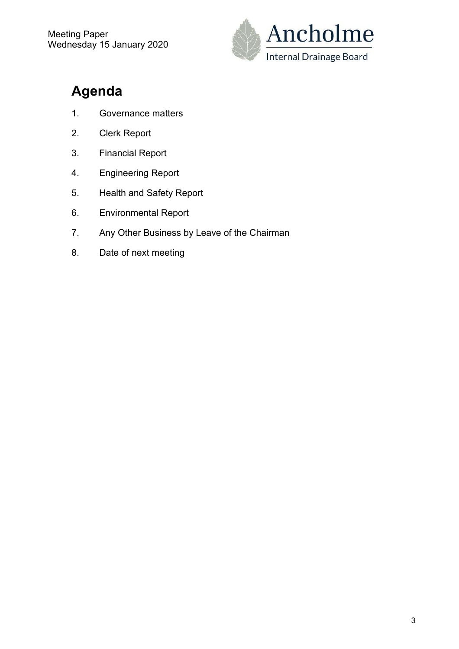

# **Agenda**

- 1. Governance matters
- 2. Clerk Report
- 3. Financial Report
- 4. Engineering Report
- 5. Health and Safety Report
- 6. Environmental Report
- 7. Any Other Business by Leave of the Chairman
- 8. Date of next meeting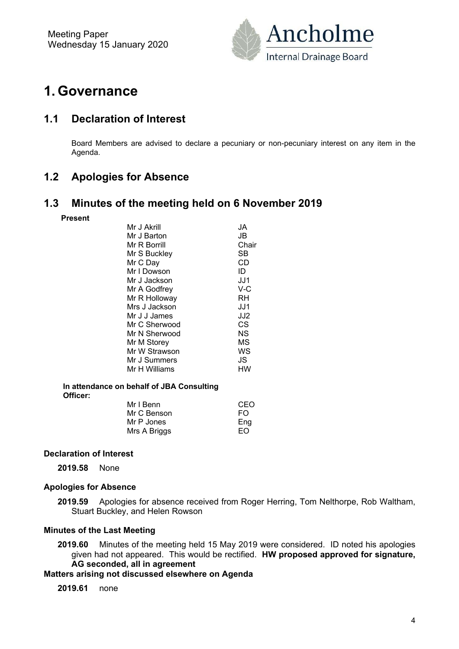

## **1. Governance**

### **1.1 Declaration of Interest**

Board Members are advised to declare a pecuniary or non-pecuniary interest on any item in the Agenda.

### **1.2 Apologies for Absence**

#### **1.3 Minutes of the meeting held on 6 November 2019**

**Present** 

| Mr J Akrill   | JA    |
|---------------|-------|
| Mr J Barton   | JB.   |
| Mr R Borrill  | Chair |
| Mr S Buckley  | SB    |
| Mr C Day      | CD    |
| Mr I Dowson   | ID    |
| Mr J Jackson  | JJ1   |
| Mr A Godfrey  | V-C   |
| Mr R Holloway | RH    |
| Mrs J Jackson | JJ1   |
| Mr J J James  | JJ2   |
| Mr C Sherwood | СS    |
| Mr N Sherwood | ΝS    |
| Mr M Storey   | ΜS    |
| Mr W Strawson | WS    |
| Mr J Summers  | JS    |
| Mr H Williams | нw    |
|               |       |

 **In attendance on behalf of JBA Consulting Officer:** 

| Mr I Benn    | CEO |
|--------------|-----|
| Mr C Benson  | FO. |
| Mr P Jones   | Eng |
| Mrs A Briggs | FO. |

#### **Declaration of Interest**

**2019.58** None

#### **Apologies for Absence**

**2019.59** Apologies for absence received from Roger Herring, Tom Nelthorpe, Rob Waltham, Stuart Buckley, and Helen Rowson

#### **Minutes of the Last Meeting**

**2019.60** Minutes of the meeting held 15 May 2019 were considered. ID noted his apologies given had not appeared. This would be rectified. **HW proposed approved for signature, AG seconded, all in agreement** 

#### **Matters arising not discussed elsewhere on Agenda**

**2019.61** none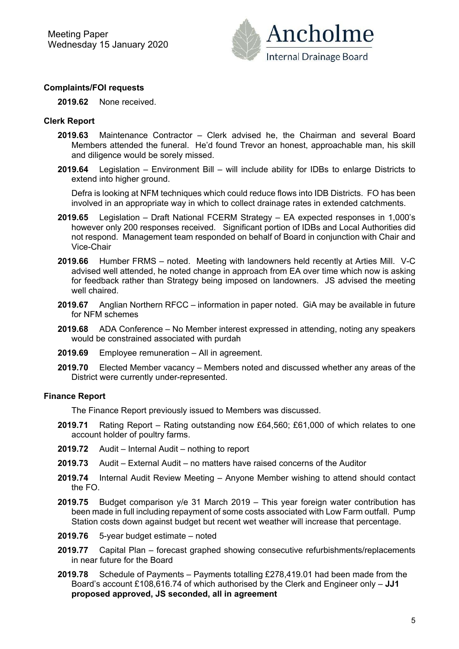

#### **Complaints/FOI requests**

**2019.62** None received.

#### **Clerk Report**

- **2019.63** Maintenance Contractor Clerk advised he, the Chairman and several Board Members attended the funeral. He'd found Trevor an honest, approachable man, his skill and diligence would be sorely missed.
- **2019.64** Legislation Environment Bill will include ability for IDBs to enlarge Districts to extend into higher ground.

Defra is looking at NFM techniques which could reduce flows into IDB Districts. FO has been involved in an appropriate way in which to collect drainage rates in extended catchments.

- **2019.65** Legislation Draft National FCERM Strategy EA expected responses in 1,000's however only 200 responses received. Significant portion of IDBs and Local Authorities did not respond. Management team responded on behalf of Board in conjunction with Chair and Vice-Chair
- **2019.66** Humber FRMS noted. Meeting with landowners held recently at Arties Mill. V-C advised well attended, he noted change in approach from EA over time which now is asking for feedback rather than Strategy being imposed on landowners. JS advised the meeting well chaired.
- **2019.67** Anglian Northern RFCC information in paper noted. GiA may be available in future for NFM schemes
- **2019.68** ADA Conference No Member interest expressed in attending, noting any speakers would be constrained associated with purdah
- **2019.69** Employee remuneration All in agreement.
- **2019.70** Elected Member vacancy Members noted and discussed whether any areas of the District were currently under-represented.

#### **Finance Report**

The Finance Report previously issued to Members was discussed.

- **2019.71** Rating Report Rating outstanding now £64,560; £61,000 of which relates to one account holder of poultry farms.
- **2019.72** Audit Internal Audit nothing to report
- **2019.73** Audit External Audit no matters have raised concerns of the Auditor
- **2019.74** Internal Audit Review Meeting Anyone Member wishing to attend should contact the FO.
- **2019.75** Budget comparison y/e 31 March 2019 This year foreign water contribution has been made in full including repayment of some costs associated with Low Farm outfall. Pump Station costs down against budget but recent wet weather will increase that percentage.
- **2019.76** 5-year budget estimate noted
- **2019.77** Capital Plan forecast graphed showing consecutive refurbishments/replacements in near future for the Board
- **2019.78** Schedule of Payments Payments totalling £278,419.01 had been made from the Board's account £108,616.74 of which authorised by the Clerk and Engineer only – **JJ1 proposed approved, JS seconded, all in agreement**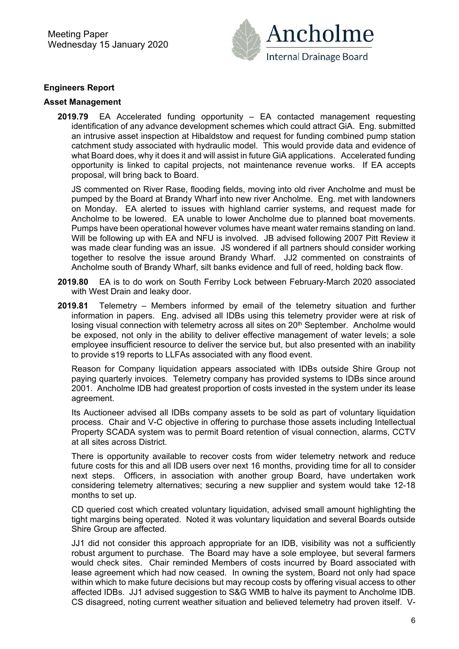Meeting Paper Wednesday 15 January 2020



#### **Engineers Report**

#### **Asset Management**

**2019.79** EA Accelerated funding opportunity – EA contacted management requesting identification of any advance development schemes which could attract GiA. Eng. submitted an intrusive asset inspection at Hibaldstow and request for funding combined pump station catchment study associated with hydraulic model. This would provide data and evidence of what Board does, why it does it and will assist in future GiA applications. Accelerated funding opportunity is linked to capital projects, not maintenance revenue works. If EA accepts proposal, will bring back to Board.

JS commented on River Rase, flooding fields, moving into old river Ancholme and must be pumped by the Board at Brandy Wharf into new river Ancholme. Eng. met with landowners on Monday. EA alerted to issues with highland carrier systems, and request made for Ancholme to be lowered. EA unable to lower Ancholme due to planned boat movements. Pumps have been operational however volumes have meant water remains standing on land. Will be following up with EA and NFU is involved. JB advised following 2007 Pitt Review it was made clear funding was an issue. JS wondered if all partners should consider working together to resolve the issue around Brandy Wharf. JJ2 commented on constraints of Ancholme south of Brandy Wharf, silt banks evidence and full of reed, holding back flow.

- **2019.80** EA is to do work on South Ferriby Lock between February-March 2020 associated with West Drain and leaky door.
- **2019.81** Telemetry Members informed by email of the telemetry situation and further information in papers. Eng. advised all IDBs using this telemetry provider were at risk of losing visual connection with telemetry across all sites on 20<sup>th</sup> September. Ancholme would be exposed, not only in the ability to deliver effective management of water levels; a sole employee insufficient resource to deliver the service but, but also presented with an inability to provide s19 reports to LLFAs associated with any flood event.

Reason for Company liquidation appears associated with IDBs outside Shire Group not paying quarterly invoices. Telemetry company has provided systems to IDBs since around 2001. Ancholme IDB had greatest proportion of costs invested in the system under its lease agreement.

Its Auctioneer advised all IDBs company assets to be sold as part of voluntary liquidation process. Chair and V-C objective in offering to purchase those assets including Intellectual Property SCADA system was to permit Board retention of visual connection, alarms, CCTV at all sites across District.

There is opportunity available to recover costs from wider telemetry network and reduce future costs for this and all IDB users over next 16 months, providing time for all to consider next steps. Officers, in association with another group Board, have undertaken work considering telemetry alternatives; securing a new supplier and system would take 12-18 months to set up.

CD queried cost which created voluntary liquidation, advised small amount highlighting the tight margins being operated. Noted it was voluntary liquidation and several Boards outside Shire Group are affected.

JJ1 did not consider this approach appropriate for an IDB, visibility was not a sufficiently robust argument to purchase. The Board may have a sole employee, but several farmers would check sites. Chair reminded Members of costs incurred by Board associated with lease agreement which had now ceased. In owning the system, Board not only had space within which to make future decisions but may recoup costs by offering visual access to other affected IDBs. JJ1 advised suggestion to S&G WMB to halve its payment to Ancholme IDB. CS disagreed, noting current weather situation and believed telemetry had proven itself. V-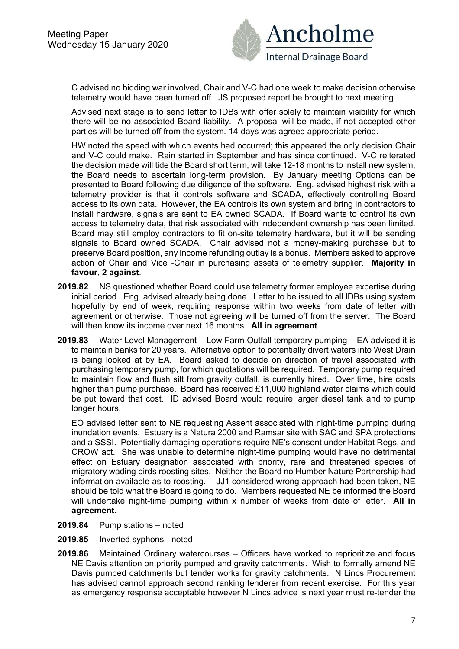

C advised no bidding war involved, Chair and V-C had one week to make decision otherwise telemetry would have been turned off. JS proposed report be brought to next meeting.

Advised next stage is to send letter to IDBs with offer solely to maintain visibility for which there will be no associated Board liability. A proposal will be made, if not accepted other parties will be turned off from the system. 14-days was agreed appropriate period.

HW noted the speed with which events had occurred; this appeared the only decision Chair and V-C could make. Rain started in September and has since continued. V-C reiterated the decision made will tide the Board short term, will take 12-18 months to install new system, the Board needs to ascertain long-term provision. By January meeting Options can be presented to Board following due diligence of the software. Eng. advised highest risk with a telemetry provider is that it controls software and SCADA, effectively controlling Board access to its own data. However, the EA controls its own system and bring in contractors to install hardware, signals are sent to EA owned SCADA. If Board wants to control its own access to telemetry data, that risk associated with independent ownership has been limited. Board may still employ contractors to fit on-site telemetry hardware, but it will be sending signals to Board owned SCADA. Chair advised not a money-making purchase but to preserve Board position, any income refunding outlay is a bonus. Members asked to approve action of Chair and Vice -Chair in purchasing assets of telemetry supplier. **Majority in favour, 2 against**.

- **2019.82** NS questioned whether Board could use telemetry former employee expertise during initial period. Eng. advised already being done. Letter to be issued to all IDBs using system hopefully by end of week, requiring response within two weeks from date of letter with agreement or otherwise. Those not agreeing will be turned off from the server. The Board will then know its income over next 16 months. **All in agreement**.
- **2019.83** Water Level Management Low Farm Outfall temporary pumping EA advised it is to maintain banks for 20 years. Alternative option to potentially divert waters into West Drain is being looked at by EA. Board asked to decide on direction of travel associated with purchasing temporary pump, for which quotations will be required. Temporary pump required to maintain flow and flush silt from gravity outfall, is currently hired. Over time, hire costs higher than pump purchase. Board has received £11,000 highland water claims which could be put toward that cost. ID advised Board would require larger diesel tank and to pump longer hours.

EO advised letter sent to NE requesting Assent associated with night-time pumping during inundation events. Estuary is a Natura 2000 and Ramsar site with SAC and SPA protections and a SSSI. Potentially damaging operations require NE's consent under Habitat Regs, and CROW act. She was unable to determine night-time pumping would have no detrimental effect on Estuary designation associated with priority, rare and threatened species of migratory wading birds roosting sites. Neither the Board no Humber Nature Partnership had information available as to roosting. JJ1 considered wrong approach had been taken, NE should be told what the Board is going to do. Members requested NE be informed the Board will undertake night-time pumping within x number of weeks from date of letter. **All in agreement.**

- **2019.84** Pump stations noted
- **2019.85** Inverted syphons noted
- **2019.86** Maintained Ordinary watercourses Officers have worked to reprioritize and focus NE Davis attention on priority pumped and gravity catchments. Wish to formally amend NE Davis pumped catchments but tender works for gravity catchments. N Lincs Procurement has advised cannot approach second ranking tenderer from recent exercise. For this year as emergency response acceptable however N Lincs advice is next year must re-tender the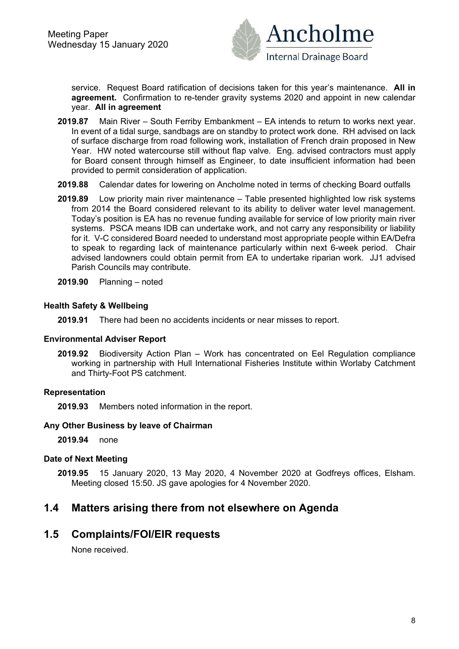

service. Request Board ratification of decisions taken for this year's maintenance. **All in agreement.** Confirmation to re-tender gravity systems 2020 and appoint in new calendar year. **All in agreement**

- **2019.87** Main River South Ferriby Embankment EA intends to return to works next year. In event of a tidal surge, sandbags are on standby to protect work done. RH advised on lack of surface discharge from road following work, installation of French drain proposed in New Year. HW noted watercourse still without flap valve. Eng. advised contractors must apply for Board consent through himself as Engineer, to date insufficient information had been provided to permit consideration of application.
- **2019.88** Calendar dates for lowering on Ancholme noted in terms of checking Board outfalls
- **2019.89** Low priority main river maintenance Table presented highlighted low risk systems from 2014 the Board considered relevant to its ability to deliver water level management. Today's position is EA has no revenue funding available for service of low priority main river systems. PSCA means IDB can undertake work, and not carry any responsibility or liability for it. V-C considered Board needed to understand most appropriate people within EA/Defra to speak to regarding lack of maintenance particularly within next 6-week period. Chair advised landowners could obtain permit from EA to undertake riparian work. JJ1 advised Parish Councils may contribute.
- **2019.90** Planning noted

#### **Health Safety & Wellbeing**

**2019.91** There had been no accidents incidents or near misses to report.

#### **Environmental Adviser Report**

**2019.92** Biodiversity Action Plan – Work has concentrated on Eel Regulation compliance working in partnership with Hull International Fisheries Institute within Worlaby Catchment and Thirty-Foot PS catchment.

#### **Representation**

**2019.93** Members noted information in the report.

#### **Any Other Business by leave of Chairman**

**2019.94** none

#### **Date of Next Meeting**

**2019.95** 15 January 2020, 13 May 2020, 4 November 2020 at Godfreys offices, Elsham. Meeting closed 15:50. JS gave apologies for 4 November 2020.

### **1.4 Matters arising there from not elsewhere on Agenda**

#### **1.5 Complaints/FOI/EIR requests**

None received.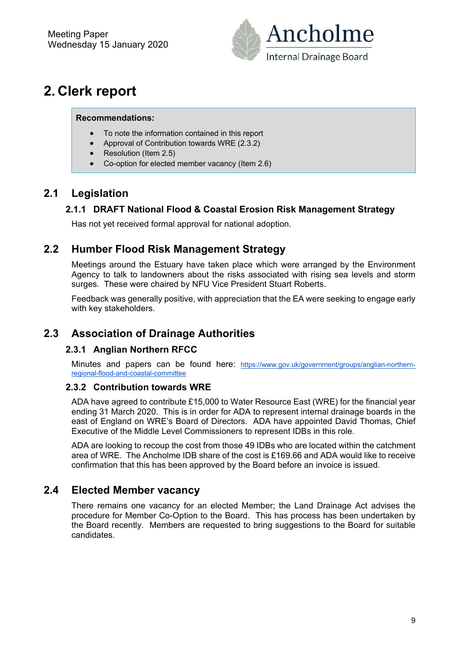

# **2. Clerk report**

#### **Recommendations:**

- To note the information contained in this report
- Approval of Contribution towards WRE (2.3.2)
- Resolution (Item 2.5)
- Co-option for elected member vacancy (Item 2.6)

## **2.1 Legislation**

### **2.1.1 DRAFT National Flood & Coastal Erosion Risk Management Strategy**

Has not yet received formal approval for national adoption.

## **2.2 Humber Flood Risk Management Strategy**

Meetings around the Estuary have taken place which were arranged by the Environment Agency to talk to landowners about the risks associated with rising sea levels and storm surges. These were chaired by NFU Vice President Stuart Roberts.

Feedback was generally positive, with appreciation that the EA were seeking to engage early with key stakeholders.

## **2.3 Association of Drainage Authorities**

#### **2.3.1 Anglian Northern RFCC**

Minutes and papers can be found here: https://www.gov.uk/government/groups/anglian-northernregional-flood-and-coastal-committee

#### **2.3.2 Contribution towards WRE**

ADA have agreed to contribute £15,000 to Water Resource East (WRE) for the financial year ending 31 March 2020. This is in order for ADA to represent internal drainage boards in the east of England on WRE's Board of Directors. ADA have appointed David Thomas, Chief Executive of the Middle Level Commissioners to represent IDBs in this role.

ADA are looking to recoup the cost from those 49 IDBs who are located within the catchment area of WRE. The Ancholme IDB share of the cost is £169.66 and ADA would like to receive confirmation that this has been approved by the Board before an invoice is issued.

## **2.4 Elected Member vacancy**

There remains one vacancy for an elected Member; the Land Drainage Act advises the procedure for Member Co-Option to the Board. This has process has been undertaken by the Board recently. Members are requested to bring suggestions to the Board for suitable candidates.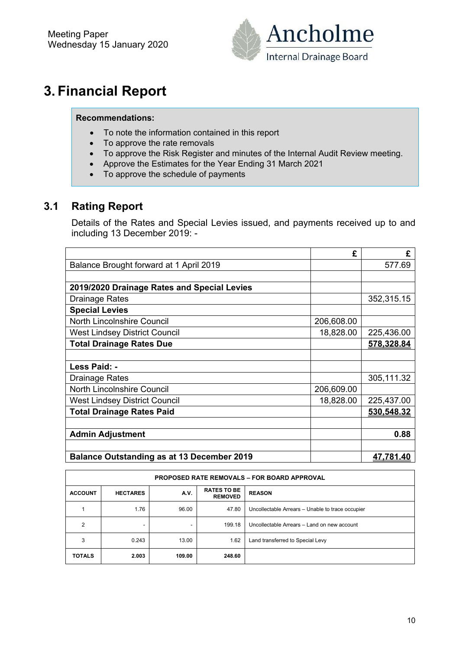

# **3. Financial Report**

#### **Recommendations:**

- To note the information contained in this report
- To approve the rate removals
- To approve the Risk Register and minutes of the Internal Audit Review meeting.
- Approve the Estimates for the Year Ending 31 March 2021
- To approve the schedule of payments

## **3.1 Rating Report**

Details of the Rates and Special Levies issued, and payments received up to and including 13 December 2019: -

|                                                   | £          | £                |
|---------------------------------------------------|------------|------------------|
| Balance Brought forward at 1 April 2019           |            | 577.69           |
|                                                   |            |                  |
| 2019/2020 Drainage Rates and Special Levies       |            |                  |
| <b>Drainage Rates</b>                             |            | 352,315.15       |
| <b>Special Levies</b>                             |            |                  |
| North Lincolnshire Council                        | 206,608.00 |                  |
| <b>West Lindsey District Council</b>              | 18,828.00  | 225,436.00       |
| <b>Total Drainage Rates Due</b>                   |            | 578,328.84       |
|                                                   |            |                  |
| Less Paid: -                                      |            |                  |
| <b>Drainage Rates</b>                             |            | 305,111.32       |
| North Lincolnshire Council                        | 206,609.00 |                  |
| <b>West Lindsey District Council</b>              | 18,828.00  | 225,437.00       |
| <b>Total Drainage Rates Paid</b>                  |            | 530.548.32       |
|                                                   |            |                  |
| <b>Admin Adjustment</b>                           |            | 0.88             |
|                                                   |            |                  |
| <b>Balance Outstanding as at 13 December 2019</b> |            | <u>47.781.40</u> |

| <b>PROPOSED RATE REMOVALS - FOR BOARD APPROVAL</b> |                                                                                  |        |        |                                                  |  |  |  |  |  |
|----------------------------------------------------|----------------------------------------------------------------------------------|--------|--------|--------------------------------------------------|--|--|--|--|--|
| <b>ACCOUNT</b>                                     | <b>RATES TO BE</b><br><b>REASON</b><br>A.V.<br><b>HECTARES</b><br><b>REMOVED</b> |        |        |                                                  |  |  |  |  |  |
|                                                    | 1.76                                                                             | 96.00  | 47.80  | Uncollectable Arrears - Unable to trace occupier |  |  |  |  |  |
| 2                                                  |                                                                                  |        | 199.18 | Uncollectable Arrears - Land on new account      |  |  |  |  |  |
| 3                                                  | 0.243                                                                            | 13.00  | 1.62   | Land transferred to Special Levy                 |  |  |  |  |  |
| <b>TOTALS</b>                                      | 2.003                                                                            | 109.00 | 248.60 |                                                  |  |  |  |  |  |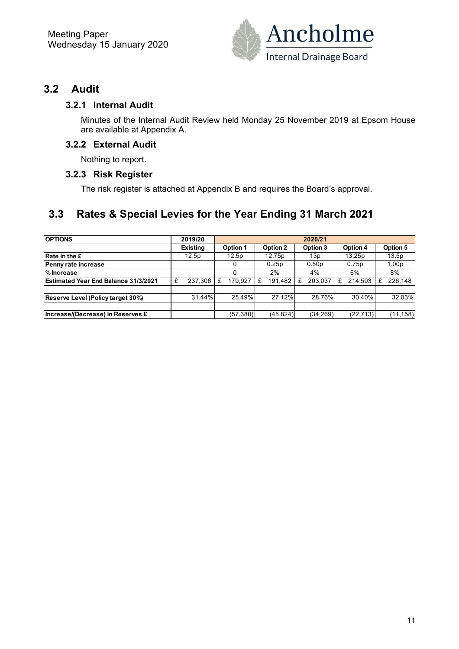

### **3.2 Audit**

#### **3.2.1 Internal Audit**

Minutes of the Internal Audit Review held Monday 25 November 2019 at Epsom House are available at Appendix A.

#### **3.2.2 External Audit**

Nothing to report.

#### **3.2.3 Risk Register**

The risk register is attached at Appendix B and requires the Board's approval.

## **3.3 Rates & Special Levies for the Year Ending 31 March 2021**

| <b>OPTIONS</b>                              |   | 2019/20         | 2020/21 |                 |   |                    |   |                   |   |           |  |                   |
|---------------------------------------------|---|-----------------|---------|-----------------|---|--------------------|---|-------------------|---|-----------|--|-------------------|
|                                             |   | <b>Existing</b> |         | <b>Option 1</b> |   | Option 2           |   | Option 3          |   | Option 4  |  | Option 5          |
| <b>Rate in the £</b>                        |   | 12.5p           |         | 12.5p           |   | 12.75 <sub>p</sub> |   | 13p               |   | 13.25p    |  | 13.5p             |
| Penny rate increase                         |   |                 |         | 0               |   | 0.25p              |   | 0.50 <sub>p</sub> |   | 0.75p     |  | 1.00 <sub>p</sub> |
| <b>MIncrease</b>                            |   |                 |         |                 |   | 2%                 |   | 4%                |   | 6%        |  | 8%                |
| <b>Estimated Year End Balance 31/3/2021</b> | £ | 237.306         | £       | 179.927         | £ | 191,482            | £ | 203.037           | £ | 214,593   |  | 226.148           |
|                                             |   |                 |         |                 |   |                    |   |                   |   |           |  |                   |
| Reserve Level (Policy target 30%)           |   | 31.44%          |         | 25.49%          |   | 27.12%             |   | 28.76%            |   | 30.40%    |  | 32.03%            |
|                                             |   |                 |         |                 |   |                    |   |                   |   |           |  |                   |
| Increase/(Decrease) in Reserves £           |   |                 |         | (57, 380)       |   | (45, 824)          |   | (34, 269)         |   | (22, 713) |  | (11,158)          |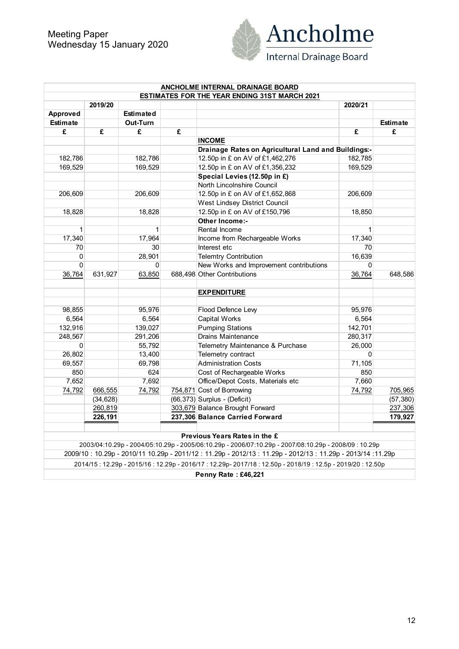

|                 |           |                  |   | ANCHOLME INTERNAL DRAINAGE BOARD                                                                                                                                                                                  |                    |                 |
|-----------------|-----------|------------------|---|-------------------------------------------------------------------------------------------------------------------------------------------------------------------------------------------------------------------|--------------------|-----------------|
|                 |           |                  |   | <b>ESTIMATES FOR THE YEAR ENDING 31ST MARCH 2021</b>                                                                                                                                                              |                    |                 |
|                 | 2019/20   |                  |   |                                                                                                                                                                                                                   | 2020/21            |                 |
| Approved        |           | <b>Estimated</b> |   |                                                                                                                                                                                                                   |                    |                 |
| <b>Estimate</b> |           | Out-Turn         | £ |                                                                                                                                                                                                                   |                    | <b>Estimate</b> |
| £               | £         | £                |   |                                                                                                                                                                                                                   | £                  | £               |
|                 |           |                  |   | <b>INCOME</b><br>Drainage Rates on Agricultural Land and Buildings:-                                                                                                                                              |                    |                 |
|                 |           | 182,786          |   | 12.50p in £ on AV of £1,462,276                                                                                                                                                                                   |                    |                 |
| 182,786         |           | 169,529          |   | 12.50p in £ on AV of £1,356,232                                                                                                                                                                                   | 182,785<br>169,529 |                 |
| 169,529         |           |                  |   |                                                                                                                                                                                                                   |                    |                 |
|                 |           |                  |   | Special Levies (12.50p in £)                                                                                                                                                                                      |                    |                 |
|                 |           |                  |   | North Lincolnshire Council                                                                                                                                                                                        |                    |                 |
| 206,609         |           | 206,609          |   | 12.50p in £ on AV of £1,652,868                                                                                                                                                                                   | 206,609            |                 |
|                 |           |                  |   | West Lindsey District Council                                                                                                                                                                                     |                    |                 |
| 18,828          |           | 18,828           |   | 12.50p in £ on AV of £150,796                                                                                                                                                                                     | 18,850             |                 |
|                 |           |                  |   | Other Income:-                                                                                                                                                                                                    |                    |                 |
| $\mathbf{1}$    |           | 1                |   | Rental Income                                                                                                                                                                                                     | $\mathbf{1}$       |                 |
| 17,340          |           | 17,964           |   | Income from Rechargeable Works                                                                                                                                                                                    | 17,340             |                 |
| 70              |           | 30               |   | Interest etc                                                                                                                                                                                                      | 70                 |                 |
| 0               |           | 28,901           |   | <b>Telemtry Contribution</b>                                                                                                                                                                                      | 16,639             |                 |
| 0               |           | 0                |   | New Works and Improvement contributions                                                                                                                                                                           | $\Omega$           |                 |
| 36,764          | 631,927   | 63,850           |   | 688,498 Other Contributions                                                                                                                                                                                       | 36,764             | 648,586         |
|                 |           |                  |   | <b>EXPENDITURE</b>                                                                                                                                                                                                |                    |                 |
| 98,855          |           | 95,976           |   | Flood Defence Lew                                                                                                                                                                                                 | 95,976             |                 |
| 6,564           |           | 6,564            |   | <b>Capital Works</b>                                                                                                                                                                                              | 6,564              |                 |
| 132,916         |           | 139,027          |   | <b>Pumping Stations</b>                                                                                                                                                                                           | 142,701            |                 |
| 248,567         |           | 291,206          |   | <b>Drains Maintenance</b>                                                                                                                                                                                         | 280,317            |                 |
| $\mathbf{0}$    |           | 55,792           |   | Telemetry Maintenance & Purchase                                                                                                                                                                                  | 26,000             |                 |
| 26,802          |           | 13,400           |   | Telemetry contract                                                                                                                                                                                                | $\Omega$           |                 |
| 69,557          |           | 69,798           |   | <b>Administration Costs</b>                                                                                                                                                                                       | 71,105             |                 |
| 850             |           | 624              |   | Cost of Rechargeable Works                                                                                                                                                                                        | 850                |                 |
| 7,652           |           | 7,692            |   | Office/Depot Costs, Materials etc                                                                                                                                                                                 | 7,660              |                 |
| 74,792          | 666,555   | 74,792           |   | 754,871 Cost of Borrowing                                                                                                                                                                                         | 74,792             | 705,965         |
|                 | (34, 628) |                  |   | $(66, 373)$ Surplus - (Deficit)                                                                                                                                                                                   |                    | (57, 380)       |
|                 | 260,819   |                  |   | 303,679 Balance Brought Forward                                                                                                                                                                                   |                    | 237,306         |
|                 | 226,191   |                  |   | 237,306 Balance Carried Forward                                                                                                                                                                                   |                    | 179,927         |
|                 |           |                  |   | Previous Years Rates in the £                                                                                                                                                                                     |                    |                 |
|                 |           |                  |   |                                                                                                                                                                                                                   |                    |                 |
|                 |           |                  |   | 2003/04:10.29p - 2004/05:10.29p - 2005/06:10.29p - 2006/07:10.29p - 2007/08:10.29p - 2008/09 : 10.29p<br>2009/10: 10.29p - 2010/11 10.29p - 2011/12: 11.29p - 2012/13: 11.29p - 2012/13: 11.29p - 2013/14: 11.29p |                    |                 |
|                 |           |                  |   | 2014/15:12.29p - 2015/16:12.29p - 2016/17:12.29p-2017/18:12.50p - 2018/19:12.5p - 2019/20:12.50p                                                                                                                  |                    |                 |
|                 |           |                  |   | Penny Rate: £46,221                                                                                                                                                                                               |                    |                 |
|                 |           |                  |   |                                                                                                                                                                                                                   |                    |                 |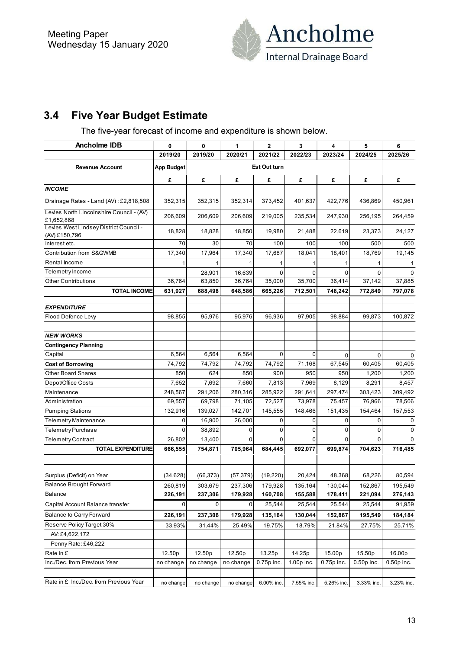

## **3.4 Five Year Budget Estimate**

The five-year forecast of income and expenditure is shown below.

| Ancholme IDB                                            | 0              | 0         | 1         | 2            | 3          | 4          | 5           | 6            |
|---------------------------------------------------------|----------------|-----------|-----------|--------------|------------|------------|-------------|--------------|
|                                                         | 2019/20        | 2019/20   | 2020/21   | 2021/22      | 2022/23    | 2023/24    | 2024/25     | 2025/26      |
| <b>Revenue Account</b>                                  | App Budget     |           |           | Est Out turn |            |            |             |              |
|                                                         | £              | £         | £         | £            | £          | £          | £           | £            |
| <b>INCOME</b>                                           |                |           |           |              |            |            |             |              |
| Drainage Rates - Land (AV): £2,818,508                  | 352,315        | 352,315   | 352,314   | 373,452      | 401,637    | 422,776    | 436,869     | 450,961      |
| Levies North Lincolnshire Council - (AV)<br>£1,652,868  | 206,609        | 206,609   | 206,609   | 219,005      | 235,534    | 247,930    | 256,195     | 264,459      |
| Levies West Lindsey District Council -<br>(AV) £150,796 | 18,828         | 18,828    | 18,850    | 19,980       | 21,488     | 22,619     | 23,373      | 24,127       |
| Interest etc.                                           | 70             | 30        | 70        | 100          | 100        | 100        | 500         | 500          |
| Contribution from S&GWMB                                | 17,340         | 17,964    | 17,340    | 17,687       | 18,041     | 18,401     | 18,769      | 19,145       |
| Rental Income                                           |                | 1         | 1         |              | 1          |            | $\mathbf 1$ | 1            |
| Telemetry Income                                        |                | 28,901    | 16,639    | 0            | 0          | 0          | $\Omega$    | $\Omega$     |
| <b>Other Contributions</b>                              | 36,764         | 63,850    | 36,764    | 35,000       | 35,700     | 36,414     | 37,142      | 37,885       |
| <b>TOTAL INCOME</b>                                     | 631,927        | 688,498   | 648,586   | 665,226      | 712,501    | 748,242    | 772,849     | 797,078      |
| <b>EXPENDITURE</b>                                      |                |           |           |              |            |            |             |              |
| Flood Defence Lew                                       | 98,855         | 95,976    | 95,976    | 96,936       | 97,905     | 98,884     | 99,873      | 100,872      |
| <b>NEW WORKS</b>                                        |                |           |           |              |            |            |             |              |
| <b>Contingency Planning</b>                             |                |           |           |              |            |            |             |              |
| Capital                                                 | 6,564          | 6,564     | 6,564     | $\Omega$     | 0          | 0          | $\Omega$    | 0            |
| <b>Cost of Borrowing</b>                                | 74,792         | 74,792    | 74,792    | 74,792       | 71,168     | 67,545     | 60,405      | 60,405       |
| <b>Other Board Shares</b>                               | 850            | 624       | 850       | 900          | 950        | 950        | 1,200       | 1,200        |
| Depot/Office Costs                                      | 7,652          | 7,692     | 7,660     | 7,813        | 7,969      | 8,129      | 8,291       | 8,457        |
| Maintenance                                             | 248,567        | 291,206   | 280,316   | 285,922      | 291,641    | 297,474    | 303,423     | 309,492      |
| Administration                                          | 69,557         | 69,798    | 71,105    | 72,527       | 73,978     | 75,457     | 76,966      | 78,506       |
| <b>Pumping Stations</b>                                 | 132,916        | 139,027   | 142,701   | 145,555      | 148,466    | 151,435    | 154,464     | 157,553      |
| <b>Telemetry Maintenance</b>                            | 0              | 16,900    | 26,000    | 0            | 0          | 0          | 0           | 0            |
| Telemetry Purchase                                      | $\Omega$       | 38,892    | 0         | 0            | 0          | 0          | $\Omega$    | 0            |
| Telemetry Contract                                      | 26,802         | 13,400    | $\Omega$  | 0            | 0          | 0          | $\Omega$    | $\Omega$     |
| <b>TOTAL EXPENDITURE</b>                                | 666,555        | 754,871   | 705,964   | 684,445      | 692,077    | 699,874    | 704,623     | 716,485      |
|                                                         |                |           |           |              |            |            |             |              |
| Surplus (Deficit) on Year                               | (34, 628)      | (66, 373) | (57, 379) | (19, 220)    | 20,424     | 48,368     | 68,226      | 80,594       |
| Balance Brought Forward                                 | 260,819        | 303,679   | 237,306   | 179,928      | 135,164    | 130,044    | 152,867     | 195,549      |
| Balance                                                 | 226,191        | 237,306   | 179,928   | 160,708      | 155,588    | 178,411    | 221,094     | 276,143      |
| Capital Account Balance transfer                        | $\overline{0}$ | 0         | 0         | 25,544       | 25,544     | 25,544     | 25,544      | 91,959       |
| <b>Balance to Carry Forward</b>                         | 226,191        | 237,306   | 179,928   | 135,164      | 130,044    | 152,867    | 195,549     | 184,184      |
| Reserve Policy Target 30%                               | 33.93%         | 31.44%    | 25.49%    | 19.75%       | 18.79%     | 21.84%     | 27.75%      | 25.71%       |
| AV: £4,622,172                                          |                |           |           |              |            |            |             |              |
| Penny Rate: £46,222                                     |                |           |           |              |            |            |             |              |
| Rate in £                                               | 12.50p         | 12.50p    | 12.50p    | 13.25p       | 14.25p     | 15.00p     | 15.50p      | 16.00p       |
| Inc./Dec. from Previous Year                            | no change      | no change | no change | 0.75p inc.   | 1.00p inc. | 0.75p inc. | 0.50p inc.  | $0.50p$ inc. |
|                                                         |                |           |           |              |            |            |             |              |
| Rate in £ Inc./Dec. from Previous Year                  | no change      | no change | no change | 6.00% inc.   | 7.55% inc. | 5.26% inc. | 3.33% inc.  | 3.23% inc.   |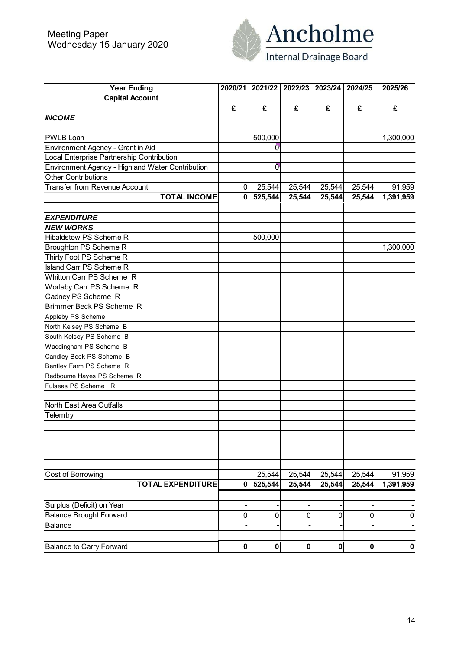

| <b>Year Ending</b>                               | 2020/21        |                | 2021/22   2022/23   2023/24   2024/25 |        |                  | 2025/26        |
|--------------------------------------------------|----------------|----------------|---------------------------------------|--------|------------------|----------------|
| <b>Capital Account</b>                           |                |                |                                       |        |                  |                |
|                                                  | £              | £              | £                                     | £      | £                | £              |
| <b>INCOME</b>                                    |                |                |                                       |        |                  |                |
|                                                  |                |                |                                       |        |                  |                |
| <b>PWLB Loan</b>                                 |                | 500,000        |                                       |        |                  | 1,300,000      |
| Environment Agency - Grant in Aid                |                | $\overline{0}$ |                                       |        |                  |                |
| Local Enterprise Partnership Contribution        |                |                |                                       |        |                  |                |
| Environment Agency - Highland Water Contribution |                | 0              |                                       |        |                  |                |
| <b>Other Contributions</b>                       |                |                |                                       |        |                  |                |
| <b>Transfer from Revenue Account</b>             | $\overline{0}$ | 25,544         | 25,544                                | 25,544 | 25,544           | 91,959         |
| <b>TOTAL INCOME</b>                              | $\mathbf{0}$   | 525,544        | 25,544                                | 25,544 | 25,544           | 1,391,959      |
|                                                  |                |                |                                       |        |                  |                |
| <b>EXPENDITURE</b>                               |                |                |                                       |        |                  |                |
| <b>NEW WORKS</b>                                 |                |                |                                       |        |                  |                |
| <b>Hibaldstow PS Scheme R</b>                    |                | 500,000        |                                       |        |                  |                |
| Broughton PS Scheme R                            |                |                |                                       |        |                  | 1,300,000      |
| Thirty Foot PS Scheme R                          |                |                |                                       |        |                  |                |
| Island Carr PS Scheme R                          |                |                |                                       |        |                  |                |
| Whitton Carr PS Scheme R                         |                |                |                                       |        |                  |                |
| Worlaby Carr PS Scheme R                         |                |                |                                       |        |                  |                |
| Cadney PS Scheme R                               |                |                |                                       |        |                  |                |
| Brimmer Beck PS Scheme R                         |                |                |                                       |        |                  |                |
| Appleby PS Scheme                                |                |                |                                       |        |                  |                |
| North Kelsey PS Scheme B                         |                |                |                                       |        |                  |                |
| South Kelsey PS Scheme B                         |                |                |                                       |        |                  |                |
| Waddingham PS Scheme B                           |                |                |                                       |        |                  |                |
| Candley Beck PS Scheme B                         |                |                |                                       |        |                  |                |
| Bentley Farm PS Scheme R                         |                |                |                                       |        |                  |                |
| Redbourne Hayes PS Scheme R                      |                |                |                                       |        |                  |                |
| Fulseas PS Scheme R                              |                |                |                                       |        |                  |                |
|                                                  |                |                |                                       |        |                  |                |
| North East Area Outfalls                         |                |                |                                       |        |                  |                |
| Telemtry                                         |                |                |                                       |        |                  |                |
|                                                  |                |                |                                       |        |                  |                |
|                                                  |                |                |                                       |        |                  |                |
|                                                  |                |                |                                       |        |                  |                |
|                                                  |                |                |                                       |        |                  |                |
|                                                  |                |                |                                       |        |                  |                |
| Cost of Borrowing                                |                | 25,544         | 25,544                                | 25,544 | 25,544           | 91,959         |
| <b>TOTAL EXPENDITURE</b>                         | 0              | 525,544        | 25,544                                | 25,544 | 25,544           | 1,391,959      |
|                                                  |                |                |                                       |        |                  |                |
| Surplus (Deficit) on Year                        |                |                |                                       |        |                  |                |
| <b>Balance Brought Forward</b>                   | 0              | 0              | $\mathbf 0$                           | 0      | 0                | $\overline{0}$ |
| Balance                                          |                |                |                                       |        |                  |                |
|                                                  |                |                |                                       |        |                  |                |
| <b>Balance to Carry Forward</b>                  | $\mathbf{0}$   | 0              | $\mathbf{0}$                          | 0      | $\boldsymbol{0}$ | 0              |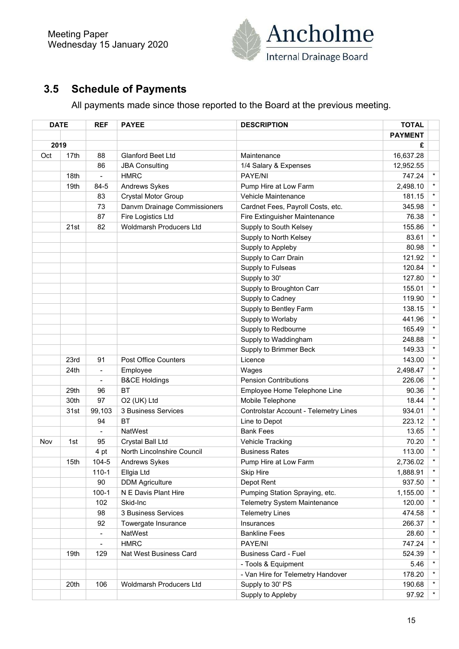

## **3.5 Schedule of Payments**

All payments made since those reported to the Board at the previous meeting.

|     | <b>DATE</b> | <b>REF</b>               | <b>PAYEE</b>                 | <b>DESCRIPTION</b>                           | <b>TOTAL</b>   |         |
|-----|-------------|--------------------------|------------------------------|----------------------------------------------|----------------|---------|
|     |             |                          |                              |                                              | <b>PAYMENT</b> |         |
|     | 2019        |                          |                              |                                              | £              |         |
| Oct | 17th        | 88                       | <b>Glanford Beet Ltd</b>     | Maintenance                                  | 16,637.28      |         |
|     |             | 86                       | <b>JBA Consulting</b>        | 1/4 Salary & Expenses                        | 12,952.55      |         |
|     | 18th        | $\overline{\phantom{0}}$ | <b>HMRC</b>                  | PAYE/NI                                      | 747.24         | $\star$ |
|     | 19th        | 84-5                     | Andrews Sykes                | Pump Hire at Low Farm                        | 2,498.10       | $\star$ |
|     |             | 83                       | <b>Crystal Motor Group</b>   | Vehicle Maintenance                          | 181.15         | $\star$ |
|     |             | 73                       | Danvm Drainage Commissioners | Cardnet Fees, Payroll Costs, etc.            | 345.98         | $\star$ |
|     |             | 87                       | Fire Logistics Ltd           | Fire Extinguisher Maintenance                | 76.38          | $\star$ |
|     | 21st        | 82                       | Woldmarsh Producers Ltd      | Supply to South Kelsey                       | 155.86         | $\star$ |
|     |             |                          |                              | Supply to North Kelsey                       | 83.61          | $\star$ |
|     |             |                          |                              | Supply to Appleby                            | 80.98          | $\star$ |
|     |             |                          |                              | Supply to Carr Drain                         | 121.92         | $\star$ |
|     |             |                          |                              | Supply to Fulseas                            | 120.84         | $\star$ |
|     |             |                          |                              | Supply to 30'                                | 127.80         | $\star$ |
|     |             |                          |                              | Supply to Broughton Carr                     | 155.01         | $\star$ |
|     |             |                          |                              | Supply to Cadney                             | 119.90         | $\star$ |
|     |             |                          |                              | Supply to Bentley Farm                       | 138.15         | $\star$ |
|     |             |                          |                              | Supply to Worlaby                            | 441.96         | $\star$ |
|     |             |                          |                              | Supply to Redbourne                          | 165.49         | $\star$ |
|     |             |                          |                              | Supply to Waddingham                         | 248.88         | $\star$ |
|     |             |                          |                              | Supply to Brimmer Beck                       | 149.33         | $\star$ |
|     | 23rd        | 91                       | <b>Post Office Counters</b>  | Licence                                      | 143.00         | $\star$ |
|     | 24th        | $\overline{\phantom{a}}$ | Employee                     | Wages                                        | 2,498.47       | $\star$ |
|     |             |                          | <b>B&amp;CE Holdings</b>     | <b>Pension Contributions</b>                 | 226.06         | $\star$ |
|     | 29th        | 96                       | <b>BT</b>                    | Employee Home Telephone Line                 | 90.36          | $\star$ |
|     | 30th        | 97                       | O2 (UK) Ltd                  | Mobile Telephone                             | 18.44          | $\star$ |
|     | 31st        | 99,103                   | 3 Business Services          | <b>Controlstar Account - Telemetry Lines</b> | 934.01         | $\star$ |
|     |             | 94                       | <b>BT</b>                    | Line to Depot                                | 223.12         | $\star$ |
|     |             | $\blacksquare$           | <b>NatWest</b>               | <b>Bank Fees</b>                             | 13.65          | $\star$ |
| Nov | 1st         | 95                       | Crystal Ball Ltd             | <b>Vehicle Tracking</b>                      | 70.20          | $\star$ |
|     |             | 4 pt                     | North Lincolnshire Council   | <b>Business Rates</b>                        | 113.00         | $\star$ |
|     | 15th        | 104-5                    | Andrews Sykes                | Pump Hire at Low Farm                        | 2,736.02       | $\star$ |
|     |             | $110 - 1$                | Ellgia Ltd                   | <b>Skip Hire</b>                             | 1,888.91       | $\star$ |
|     |             | 90                       | <b>DDM Agriculture</b>       | Depot Rent                                   | 937.50         | $\star$ |
|     |             | $100 - 1$                | N E Davis Plant Hire         | Pumping Station Spraying, etc.               | 1,155.00       | $\star$ |
|     |             | 102                      | Skid-Inc                     | <b>Telemetry System Maintenance</b>          | 120.00         | $\star$ |
|     |             | 98                       | 3 Business Services          | <b>Telemetry Lines</b>                       | 474.58         | $\star$ |
|     |             | 92                       | Towergate Insurance          | Insurances                                   | 266.37         | $\star$ |
|     |             |                          | NatWest                      | <b>Bankline Fees</b>                         | 28.60          | $\star$ |
|     |             |                          | <b>HMRC</b>                  | PAYE/NI                                      | 747.24         | $\star$ |
|     | 19th        | 129                      | Nat West Business Card       | <b>Business Card - Fuel</b>                  | 524.39         | $\star$ |
|     |             |                          |                              | - Tools & Equipment                          | 5.46           | $\star$ |
|     |             |                          |                              | - Van Hire for Telemetry Handover            | 178.20         | $\star$ |
|     | 20th        | 106                      | Woldmarsh Producers Ltd      | Supply to 30' PS                             | 190.68         | $\star$ |
|     |             |                          |                              | Supply to Appleby                            | 97.92          | $\star$ |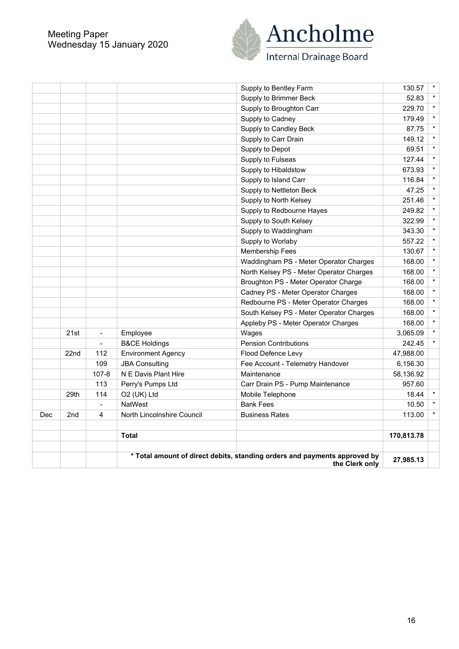#### Meeting Paper Wednesday 15 January 2020



|     |                 |                          |                            | * Total amount of direct debits, standing orders and payments approved by<br>the Clerk only | 27,985.13  |         |
|-----|-----------------|--------------------------|----------------------------|---------------------------------------------------------------------------------------------|------------|---------|
|     |                 |                          |                            |                                                                                             |            |         |
|     |                 |                          | <b>Total</b>               |                                                                                             | 170,813.78 |         |
| Dec | 2 <sub>nd</sub> | 4                        | North Lincolnshire Council | <b>Business Rates</b>                                                                       | 113.00     | $\star$ |
|     |                 | $\overline{\phantom{a}}$ | <b>NatWest</b>             | <b>Bank Fees</b>                                                                            | 10.50      |         |
|     | 29th            | 114                      | O2 (UK) Ltd                | Mobile Telephone                                                                            | 18.44      |         |
|     |                 | 113                      | Perry's Pumps Ltd          | Carr Drain PS - Pump Maintenance                                                            | 957.60     |         |
|     |                 | $107 - 8$                | N E Davis Plant Hire       | Maintenance                                                                                 | 58,136.92  |         |
|     |                 | 109                      | <b>JBA Consulting</b>      | Fee Account - Telemetry Handover                                                            | 6,156.30   |         |
|     | 22nd            | 112                      | <b>Environment Agency</b>  | Flood Defence Levy                                                                          | 47,988.00  |         |
|     |                 | $\blacksquare$           | <b>B&amp;CE Holdings</b>   | <b>Pension Contributions</b>                                                                | 242.45     | $\star$ |
|     | 21st            | $\blacksquare$           | Employee                   | Wages                                                                                       | 3,065.09   | $\star$ |
|     |                 |                          |                            | Appleby PS - Meter Operator Charges                                                         | 168.00     | $\star$ |
|     |                 |                          |                            | South Kelsey PS - Meter Operator Charges                                                    | 168.00     | $\star$ |
|     |                 |                          |                            | Redbourne PS - Meter Operator Charges                                                       | 168.00     | $\star$ |
|     |                 |                          |                            | Cadney PS - Meter Operator Charges                                                          | 168.00     | $\star$ |
|     |                 |                          |                            | Broughton PS - Meter Operator Charge                                                        | 168.00     | $\star$ |
|     |                 |                          |                            | North Kelsey PS - Meter Operator Charges                                                    | 168.00     | $\star$ |
|     |                 |                          |                            | Waddingham PS - Meter Operator Charges                                                      | 168.00     | $\star$ |
|     |                 |                          |                            | Membership Fees                                                                             | 130.67     | $\star$ |
|     |                 |                          |                            | Supply to Worlaby                                                                           | 557.22     | $\star$ |
|     |                 |                          |                            | Supply to Waddingham                                                                        | 343.30     | $\star$ |
|     |                 |                          |                            | Supply to South Kelsey                                                                      | 322.99     | $\star$ |
|     |                 |                          |                            | Supply to Redbourne Hayes                                                                   | 249.82     | $\star$ |
|     |                 |                          |                            | Supply to North Kelsey                                                                      | 251.46     | $\star$ |
|     |                 |                          |                            | Supply to Nettleton Beck                                                                    | 47.25      | $\star$ |
|     |                 |                          |                            | Supply to Island Carr                                                                       | 116.84     | $\star$ |
|     |                 |                          |                            | Supply to Hibaldstow                                                                        | 673.93     | $\star$ |
|     |                 |                          |                            | Supply to Fulseas                                                                           | 127.44     | $\star$ |
|     |                 |                          |                            | Supply to Depot                                                                             | 69.51      | $\star$ |
|     |                 |                          |                            | Supply to Carr Drain                                                                        | 149.12     | $\star$ |
|     |                 |                          |                            | Supply to Candley Beck                                                                      | 87.75      | $\star$ |
|     |                 |                          |                            | Supply to Cadney                                                                            | 179.49     | $\star$ |
|     |                 |                          |                            | Supply to Broughton Carr                                                                    | 229.70     | $\star$ |
|     |                 |                          |                            | Supply to Brimmer Beck                                                                      | 52.83      | $\star$ |
|     |                 |                          |                            | Supply to Bentley Farm                                                                      | 130.57     | $\star$ |
|     |                 |                          |                            |                                                                                             |            |         |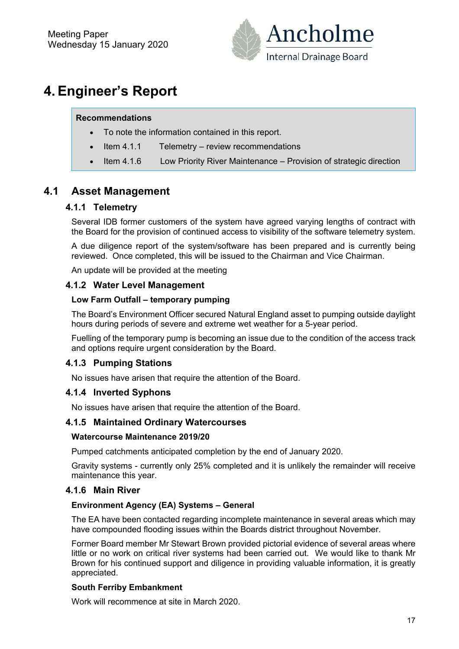

# **4. Engineer's Report**

#### **Recommendations**

- To note the information contained in this report.
- Item 4.1.1 Telemetry review recommendations
- Item 4.1.6 Low Priority River Maintenance Provision of strategic direction

## **4.1 Asset Management**

#### **4.1.1 Telemetry**

Several IDB former customers of the system have agreed varying lengths of contract with the Board for the provision of continued access to visibility of the software telemetry system.

A due diligence report of the system/software has been prepared and is currently being reviewed. Once completed, this will be issued to the Chairman and Vice Chairman.

An update will be provided at the meeting

#### **4.1.2 Water Level Management**

#### **Low Farm Outfall – temporary pumping**

The Board's Environment Officer secured Natural England asset to pumping outside daylight hours during periods of severe and extreme wet weather for a 5-year period.

Fuelling of the temporary pump is becoming an issue due to the condition of the access track and options require urgent consideration by the Board.

#### **4.1.3 Pumping Stations**

No issues have arisen that require the attention of the Board.

#### **4.1.4 Inverted Syphons**

No issues have arisen that require the attention of the Board.

#### **4.1.5 Maintained Ordinary Watercourses**

#### **Watercourse Maintenance 2019/20**

Pumped catchments anticipated completion by the end of January 2020.

Gravity systems - currently only 25% completed and it is unlikely the remainder will receive maintenance this year.

#### **4.1.6 Main River**

#### **Environment Agency (EA) Systems – General**

The EA have been contacted regarding incomplete maintenance in several areas which may have compounded flooding issues within the Boards district throughout November.

Former Board member Mr Stewart Brown provided pictorial evidence of several areas where little or no work on critical river systems had been carried out. We would like to thank Mr Brown for his continued support and diligence in providing valuable information, it is greatly appreciated.

#### **South Ferriby Embankment**

Work will recommence at site in March 2020.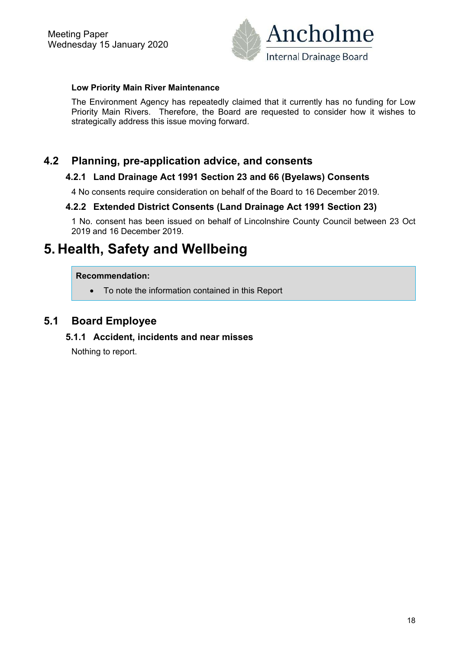

#### **Low Priority Main River Maintenance**

The Environment Agency has repeatedly claimed that it currently has no funding for Low Priority Main Rivers. Therefore, the Board are requested to consider how it wishes to strategically address this issue moving forward.

### **4.2 Planning, pre-application advice, and consents**

#### **4.2.1 Land Drainage Act 1991 Section 23 and 66 (Byelaws) Consents**

4 No consents require consideration on behalf of the Board to 16 December 2019.

#### **4.2.2 Extended District Consents (Land Drainage Act 1991 Section 23)**

1 No. consent has been issued on behalf of Lincolnshire County Council between 23 Oct 2019 and 16 December 2019.

## **5. Health, Safety and Wellbeing**

#### **Recommendation:**

To note the information contained in this Report

### **5.1 Board Employee**

#### **5.1.1 Accident, incidents and near misses**

Nothing to report.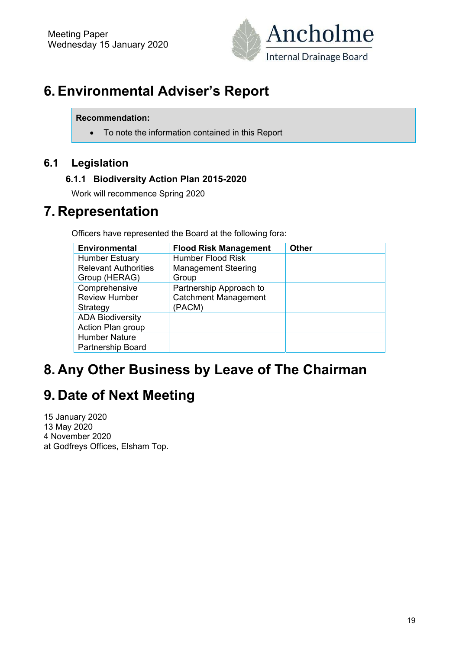

# **6. Environmental Adviser's Report**

#### **Recommendation:**

To note the information contained in this Report

## **6.1 Legislation**

### **6.1.1 Biodiversity Action Plan 2015-2020**

Work will recommence Spring 2020

## **7. Representation**

Officers have represented the Board at the following fora:

| <b>Environmental</b>        | <b>Flood Risk Management</b> | <b>Other</b> |
|-----------------------------|------------------------------|--------------|
| <b>Humber Estuary</b>       | <b>Humber Flood Risk</b>     |              |
| <b>Relevant Authorities</b> | <b>Management Steering</b>   |              |
| Group (HERAG)               | Group                        |              |
| Comprehensive               | Partnership Approach to      |              |
| <b>Review Humber</b>        | <b>Catchment Management</b>  |              |
| Strategy                    | (PACM)                       |              |
| <b>ADA Biodiversity</b>     |                              |              |
| Action Plan group           |                              |              |
| <b>Humber Nature</b>        |                              |              |
| <b>Partnership Board</b>    |                              |              |

## **8. Any Other Business by Leave of The Chairman**

# **9. Date of Next Meeting**

15 January 2020 13 May 2020 4 November 2020 at Godfreys Offices, Elsham Top.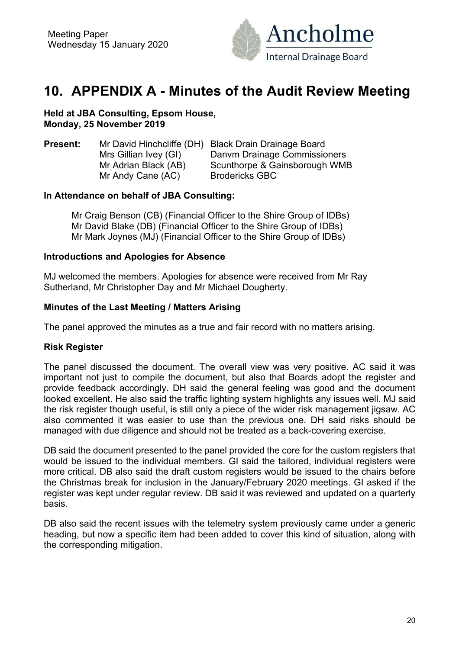

## **10. APPENDIX A - Minutes of the Audit Review Meeting**

**Held at JBA Consulting, Epsom House, Monday, 25 November 2019** 

**Present:** Mr David Hinchcliffe (DH) Black Drain Drainage Board Mrs Gillian Ivey (GI) Danym Drainage Commissioners Mr Adrian Black (AB) Scunthorpe & Gainsborough WMB Mr Andy Cane (AC) Brodericks GBC

#### **In Attendance on behalf of JBA Consulting:**

 Mr Craig Benson (CB) (Financial Officer to the Shire Group of IDBs) Mr David Blake (DB) (Financial Officer to the Shire Group of IDBs) Mr Mark Joynes (MJ) (Financial Officer to the Shire Group of IDBs)

#### **Introductions and Apologies for Absence**

MJ welcomed the members. Apologies for absence were received from Mr Ray Sutherland, Mr Christopher Day and Mr Michael Dougherty.

#### **Minutes of the Last Meeting / Matters Arising**

The panel approved the minutes as a true and fair record with no matters arising.

#### **Risk Register**

The panel discussed the document. The overall view was very positive. AC said it was important not just to compile the document, but also that Boards adopt the register and provide feedback accordingly. DH said the general feeling was good and the document looked excellent. He also said the traffic lighting system highlights any issues well. MJ said the risk register though useful, is still only a piece of the wider risk management jigsaw. AC also commented it was easier to use than the previous one. DH said risks should be managed with due diligence and should not be treated as a back-covering exercise.

DB said the document presented to the panel provided the core for the custom registers that would be issued to the individual members. GI said the tailored, individual registers were more critical. DB also said the draft custom registers would be issued to the chairs before the Christmas break for inclusion in the January/February 2020 meetings. GI asked if the register was kept under regular review. DB said it was reviewed and updated on a quarterly basis.

DB also said the recent issues with the telemetry system previously came under a generic heading, but now a specific item had been added to cover this kind of situation, along with the corresponding mitigation.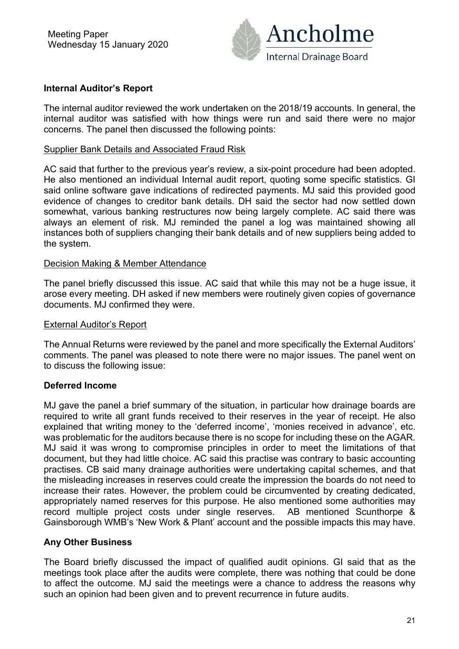

#### **Internal Auditor's Report**

The internal auditor reviewed the work undertaken on the 2018/19 accounts. In general, the internal auditor was satisfied with how things were run and said there were no major concerns. The panel then discussed the following points:

#### Supplier Bank Details and Associated Fraud Risk

AC said that further to the previous year's review, a six-point procedure had been adopted. He also mentioned an individual Internal audit report, quoting some specific statistics. GI said online software gave indications of redirected payments. MJ said this provided good evidence of changes to creditor bank details. DH said the sector had now settled down somewhat, various banking restructures now being largely complete. AC said there was always an element of risk. MJ reminded the panel a log was maintained showing all instances both of suppliers changing their bank details and of new suppliers being added to the system.

#### Decision Making & Member Attendance

The panel briefly discussed this issue. AC said that while this may not be a huge issue, it arose every meeting. DH asked if new members were routinely given copies of governance documents. MJ confirmed they were.

#### External Auditor's Report

The Annual Returns were reviewed by the panel and more specifically the External Auditors' comments. The panel was pleased to note there were no major issues. The panel went on to discuss the following issue:

#### **Deferred Income**

MJ gave the panel a brief summary of the situation, in particular how drainage boards are required to write all grant funds received to their reserves in the year of receipt. He also explained that writing money to the 'deferred income', 'monies received in advance', etc. was problematic for the auditors because there is no scope for including these on the AGAR. MJ said it was wrong to compromise principles in order to meet the limitations of that document, but they had little choice. AC said this practise was contrary to basic accounting practises. CB said many drainage authorities were undertaking capital schemes, and that the misleading increases in reserves could create the impression the boards do not need to increase their rates. However, the problem could be circumvented by creating dedicated, appropriately named reserves for this purpose. He also mentioned some authorities may record multiple project costs under single reserves. AB mentioned Scunthorpe & Gainsborough WMB's 'New Work & Plant' account and the possible impacts this may have.

#### **Any Other Business**

The Board briefly discussed the impact of qualified audit opinions. GI said that as the meetings took place after the audits were complete, there was nothing that could be done to affect the outcome. MJ said the meetings were a chance to address the reasons why such an opinion had been given and to prevent recurrence in future audits.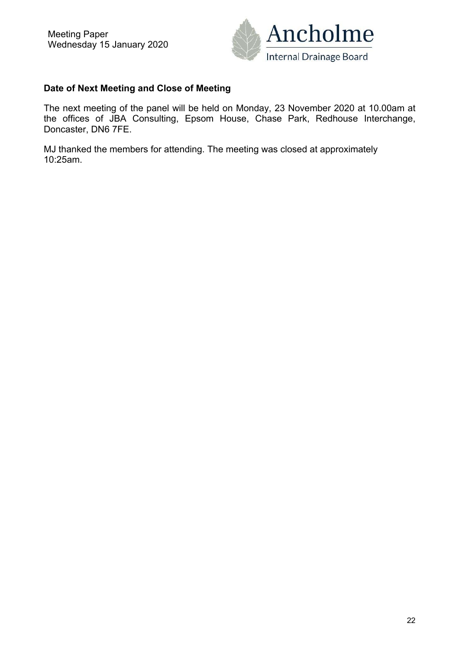

#### **Date of Next Meeting and Close of Meeting**

The next meeting of the panel will be held on Monday, 23 November 2020 at 10.00am at the offices of JBA Consulting, Epsom House, Chase Park, Redhouse Interchange, Doncaster, DN6 7FE.

MJ thanked the members for attending. The meeting was closed at approximately 10:25am.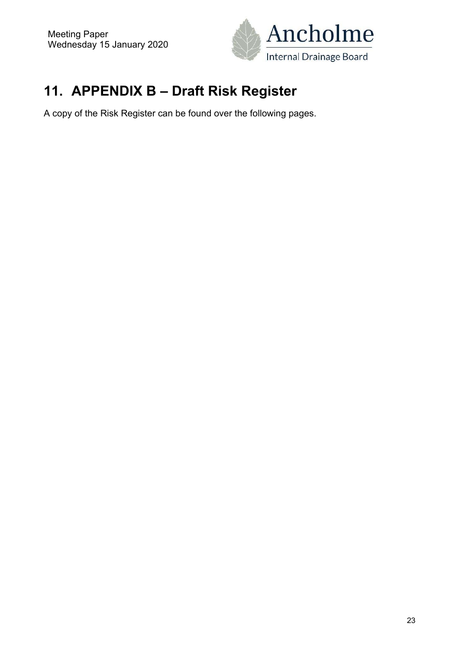

# **11. APPENDIX B – Draft Risk Register**

A copy of the Risk Register can be found over the following pages.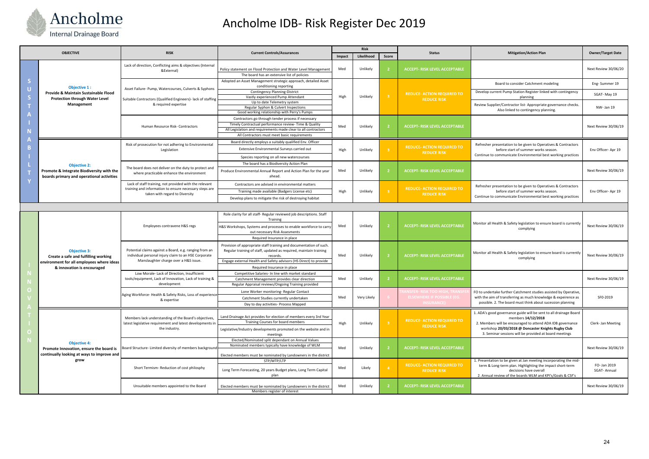|  |                                                                                                                                        |                                                                                                                                                                                   |                                                                                                                                                     |             | <b>Risk</b>          |                                  |                                                                                                 |                                                                                                                                                                        |                          |
|--|----------------------------------------------------------------------------------------------------------------------------------------|-----------------------------------------------------------------------------------------------------------------------------------------------------------------------------------|-----------------------------------------------------------------------------------------------------------------------------------------------------|-------------|----------------------|----------------------------------|-------------------------------------------------------------------------------------------------|------------------------------------------------------------------------------------------------------------------------------------------------------------------------|--------------------------|
|  | <b>OBJECTIVE</b>                                                                                                                       | <b>RISK</b>                                                                                                                                                                       | <b>Current Controls/Assurances</b>                                                                                                                  | Impact      | Likelihood           | Score                            | <b>Status</b>                                                                                   | <b>Mitigation/Action Plan</b>                                                                                                                                          | <b>Owner/Target Date</b> |
|  | Objective 1:<br>Provide & Maintain Sustainable Flood<br><b>Protection through Water Level</b><br>Management                            | Lack of direction, Conflicting aims & objectives (Internal<br>&External)                                                                                                          | Policy statement on Flood Protection and Water Level Management<br>The board has an extensive list of policies                                      | Med         | Unlikely             | $\sqrt{2}$                       | <b>ACCEPT- RISK LEVEL ACCEPTABLE</b>                                                            |                                                                                                                                                                        | Next Review 30/06/20     |
|  |                                                                                                                                        | Asset Failure- Pump, Watercourses, Culverts & Syphons<br>Suitable Contractors (Qualified Engineers)- lack of staffing<br>& required expertise<br>Human Resource Risk- Contractors | Adopted an Asset Management strategic approach, detailed Asset<br>conditioning reporting                                                            | High<br>Med | Unlikely<br>Unlikely | 3 <sup>°</sup><br>$\overline{2}$ | <b>REDUCE- ACTION REQUIRED TO</b><br><b>REDUCE RISK</b><br><b>ACCEPT- RISK LEVEL ACCEPTABLE</b> | Board to consider Catchment modeling                                                                                                                                   | Eng-Summer 19            |
|  |                                                                                                                                        |                                                                                                                                                                                   | <b>Contingency Planning-District</b><br>Vastly experienced Pump Attendant                                                                           |             |                      |                                  |                                                                                                 | Develop current Pump Station Register linked with contingency<br>planning                                                                                              | SGAT-May 19              |
|  |                                                                                                                                        |                                                                                                                                                                                   | Up to date Telemetry system                                                                                                                         |             |                      |                                  |                                                                                                 | Review Supplier/Contractor list-Appropriate governance checks.<br>Also linked to contingency planning.                                                                 | NW- Jan 19               |
|  |                                                                                                                                        |                                                                                                                                                                                   | Regular Syphon & Culvert Inspections<br>Good working relationship with Perry's Pumps                                                                |             |                      |                                  |                                                                                                 |                                                                                                                                                                        |                          |
|  |                                                                                                                                        |                                                                                                                                                                                   | Contractors go through tender process if necessary                                                                                                  |             |                      |                                  |                                                                                                 |                                                                                                                                                                        |                          |
|  |                                                                                                                                        |                                                                                                                                                                                   | Timely Contractual performance review-Time & Quality                                                                                                |             |                      |                                  |                                                                                                 |                                                                                                                                                                        | Next Review 30/06/19     |
|  |                                                                                                                                        |                                                                                                                                                                                   | All Legislation and requirements made clear to all contractors                                                                                      |             |                      |                                  |                                                                                                 |                                                                                                                                                                        |                          |
|  |                                                                                                                                        |                                                                                                                                                                                   | All Contractors must meet basic requirements                                                                                                        |             |                      |                                  |                                                                                                 |                                                                                                                                                                        |                          |
|  |                                                                                                                                        | Risk of prosecution for not adhering to Environmental<br>Legislation                                                                                                              | Board directly employs a suitably qualified Env. Officer                                                                                            | High        | Unlikely             | 3 <sup>°</sup>                   | <b>REDUCE- ACTION REQUIRED TO</b><br><b>REDUCE RISK</b>                                         | Refresher presentation to be given to Operatives & Contractors<br>before start of summer works season.<br>Continue to communicate Environmental best working practices | Env Officer-Apr 19       |
|  |                                                                                                                                        |                                                                                                                                                                                   | Extensive Environmental Surveys carried out                                                                                                         |             |                      |                                  |                                                                                                 |                                                                                                                                                                        |                          |
|  |                                                                                                                                        |                                                                                                                                                                                   | Species reporting on all new watercourses                                                                                                           |             |                      |                                  |                                                                                                 |                                                                                                                                                                        |                          |
|  | <b>Objective 2:</b>                                                                                                                    | The board does not deliver on the duty to protect and<br>where practicable enhance the environment                                                                                | The board has a Biodiversity Action Plan                                                                                                            | Med         | Unlikely             | $\overline{2}$                   | <b>ACCEPT- RISK LEVEL ACCEPTABLE</b>                                                            |                                                                                                                                                                        |                          |
|  | Promote & Integrate Biodiversity with the<br>boards primary and operational activities                                                 |                                                                                                                                                                                   | Produce Environmental Annual Report and Action Plan for the year<br>ahead.                                                                          |             |                      |                                  |                                                                                                 |                                                                                                                                                                        | Next Review 30/06/19     |
|  |                                                                                                                                        | Lack of staff training, not provided with the relevant<br>training and information to ensure necessary steps are<br>taken with regard to Diversity                                | Contractors are advised in environmental matters                                                                                                    | High        | Unlikely             | 3 <sup>°</sup>                   | <b>REDUCE- ACTION REQUIRED TO</b><br><b>REDUCE RISK</b>                                         | Refresher presentation to be given to Operatives & Contractors<br>before start of summer works season.                                                                 | Env Officer-Apr 19       |
|  |                                                                                                                                        |                                                                                                                                                                                   | Training made available (Badgers License etc)                                                                                                       |             |                      |                                  |                                                                                                 |                                                                                                                                                                        |                          |
|  |                                                                                                                                        |                                                                                                                                                                                   | Develop plans to mitigate the risk of destroying habitat                                                                                            |             |                      |                                  |                                                                                                 | Continue to communicate Environmental best working practices                                                                                                           |                          |
|  |                                                                                                                                        |                                                                                                                                                                                   |                                                                                                                                                     |             |                      |                                  |                                                                                                 |                                                                                                                                                                        |                          |
|  | <b>Objective 3:</b><br>Create a safe and fulfilling working<br>environment for all employees where ideas<br>& innovation is encouraged | Employees contravene H&S regs                                                                                                                                                     | Role clarity for all staff- Regular reviewed job descriptions. Staff                                                                                | Med         | Unlikely             | $\overline{2}$                   | <b>ACCEPT- RISK LEVEL ACCEPTABLE</b>                                                            |                                                                                                                                                                        |                          |
|  |                                                                                                                                        |                                                                                                                                                                                   | Training                                                                                                                                            |             |                      |                                  |                                                                                                 | Monitor all Health & Safety legislation to ensure board is currently                                                                                                   |                          |
|  |                                                                                                                                        |                                                                                                                                                                                   | 1&S Workshops, Systems and processes to enable workforce to carry<br>out necessary Risk Assesments                                                  |             |                      |                                  |                                                                                                 | complying                                                                                                                                                              | Next Review 30/06/19     |
|  |                                                                                                                                        |                                                                                                                                                                                   | Required Insurance in place                                                                                                                         |             |                      |                                  |                                                                                                 |                                                                                                                                                                        |                          |
|  |                                                                                                                                        | Potential claims against a Board, e.g. ranging from an<br>individual personal injury claim to an HSE Corporate<br>Manslaughter charge over a H&S issue.                           | Provision of appropriate staff training and documentation of such.<br>Regular training of staff, updated as required, maintain training<br>records. | Med         | Unlikely             | $\overline{2}$                   | <b>ACCEPT- RISK LEVEL ACCEPTABLE</b>                                                            | Monitor all Health & Safety legislation to ensure board is currently                                                                                                   | Next Review 30/06/19     |
|  |                                                                                                                                        |                                                                                                                                                                                   | Engage external Health and Safety advisors (HS Direct) to provide                                                                                   |             |                      |                                  |                                                                                                 | complying                                                                                                                                                              |                          |
|  |                                                                                                                                        |                                                                                                                                                                                   | Required Insurance in place                                                                                                                         |             |                      |                                  |                                                                                                 |                                                                                                                                                                        |                          |
|  |                                                                                                                                        | Low Morale- Lack of Direction, Insufficient<br>tools/equipment, Lack of Innovation, Lack of training &<br>development                                                             | Competitive Salaries- In line with market standard                                                                                                  | Med         | Unlikely             | $\overline{2}$                   | <b>ACCEPT- RISK LEVEL ACCEPTABLE</b>                                                            |                                                                                                                                                                        |                          |
|  |                                                                                                                                        |                                                                                                                                                                                   | Catchment Management provides clear direction<br>Regular Appraisal reviews/Ongoing Training provided                                                |             |                      |                                  |                                                                                                 |                                                                                                                                                                        | Next Review 30/06/19     |
|  |                                                                                                                                        | Aging Workforce- Health & Safety Risks, Loss of experience<br>& expertise                                                                                                         | Lone Worker monitoring- Regular Contact                                                                                                             | Med         | Very Likely          |                                  | <b>ISFER- RISK TOO HIGH, TRANSE</b><br>ELSEWHERE IF POSSIBLE (EG.<br><b>INSURANCE</b> )         | FO to undertake further Catchment studies assisted by Operative,                                                                                                       |                          |
|  |                                                                                                                                        |                                                                                                                                                                                   | Catchment Studies currently undertaken                                                                                                              |             |                      |                                  |                                                                                                 | with the aim of transferring as much knowledge & expeirence as<br>possible. 2. The board must think about sucession planning                                           | SF0-2019                 |
|  |                                                                                                                                        |                                                                                                                                                                                   | Day to day activities- Process Mapped                                                                                                               |             |                      |                                  |                                                                                                 |                                                                                                                                                                        |                          |
|  |                                                                                                                                        |                                                                                                                                                                                   |                                                                                                                                                     |             |                      |                                  |                                                                                                 | 1. ADA's good governance guide will be sent to all drainage Board                                                                                                      |                          |
|  | <b>Objective 4:</b><br>Promote Innovation, ensure the board is<br>continually looking at ways to improve and<br>grow                   | Members lack understanding of the Board's objectives,<br>latest legislative requirement and latest developments in<br>the industry.                                               | Land Drainage Act provides for election of members every 3rd Year                                                                                   | High        | Unlikely             | 3 <sup>°</sup>                   | <b>REDUCE- ACTION REQUIRED TO</b><br><b>REDUCE RISK</b>                                         | members 14/12/2018                                                                                                                                                     |                          |
|  |                                                                                                                                        |                                                                                                                                                                                   | Training Courses for board members                                                                                                                  |             |                      |                                  |                                                                                                 | 2. Members will be encouraged to attend ADA IDB governance                                                                                                             | Clerk- Jan Meeting       |
|  |                                                                                                                                        |                                                                                                                                                                                   | Legislative/Industry developments promoted on the website and in                                                                                    |             |                      |                                  |                                                                                                 | workshop 20/03/2018 @ Doncaster Knights Rugby Club<br>3. Seminar sessions will be provided at board meetings                                                           |                          |
|  |                                                                                                                                        | Board Structure- Limited diversity of members background                                                                                                                          | meetings<br>Elected/Nominated split dependant on Annual Values                                                                                      |             | Unlikely             | $\overline{2}$                   | <b>ACCEPT- RISK LEVEL ACCEPTABLE</b>                                                            |                                                                                                                                                                        |                          |
|  |                                                                                                                                        |                                                                                                                                                                                   | Nominated members typically have knowledge of WLM                                                                                                   | Med         |                      |                                  |                                                                                                 |                                                                                                                                                                        | Next Review 30/06/19     |
|  |                                                                                                                                        |                                                                                                                                                                                   |                                                                                                                                                     |             |                      |                                  |                                                                                                 |                                                                                                                                                                        |                          |
|  |                                                                                                                                        | Short Termism- Reduction of cost philosphy                                                                                                                                        | Elected members must be nominated by Landowners in the district<br>STP/MTP/LTP                                                                      | Med         | Likely               |                                  | <b>REDUCE- ACTION REQUIRED TO</b><br><b>REDUCE RISK</b>                                         | 1. Presentation to be given at Jan meeting incorporating the mid-                                                                                                      |                          |
|  |                                                                                                                                        |                                                                                                                                                                                   |                                                                                                                                                     |             |                      | $\overline{4}$                   |                                                                                                 | term & Long-term plan. Highlighting the impact short-term                                                                                                              | FO- Jan 2019             |
|  |                                                                                                                                        |                                                                                                                                                                                   | Long Term Forecasting, 20 years Budget plans, Long Term Capital<br>plan                                                                             |             |                      |                                  |                                                                                                 | decisions have overall<br>2. Annual review of the boards WLM and KPI's/Goals & CSF's                                                                                   | <b>SGAT-Annual</b>       |
|  |                                                                                                                                        |                                                                                                                                                                                   |                                                                                                                                                     |             |                      |                                  |                                                                                                 |                                                                                                                                                                        |                          |
|  |                                                                                                                                        | Unsuitable members appointed to the Board                                                                                                                                         | Elected members must be nominated by Landowners in the district<br>Members register of interest                                                     | Med         | Unlikely             | $\overline{2}$                   | <b>ACCEPT- RISK LEVEL ACCEPTABLE</b>                                                            |                                                                                                                                                                        | Next Review 30/06/19     |



# Ancholme IDB‐ Risk Register Dec 2019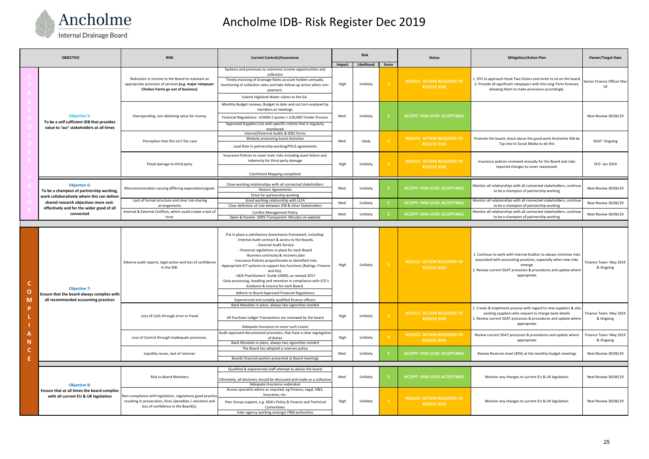| <b>OBJECTIVE</b> |                                                                                                                                                                                                                   | <b>RISK</b>                                                                                                                                                     | <b>Current Controls/Assurances</b>                                                                                                                                                                                                                                                                                                                                                                                                                                                                                                                     | <b>Risk</b> |            |                | <b>Status</b>                                           | <b>Mitigation/Action Plan</b>                                                                                                                                                                                                    | <b>Owner/Target Date</b>            |
|------------------|-------------------------------------------------------------------------------------------------------------------------------------------------------------------------------------------------------------------|-----------------------------------------------------------------------------------------------------------------------------------------------------------------|--------------------------------------------------------------------------------------------------------------------------------------------------------------------------------------------------------------------------------------------------------------------------------------------------------------------------------------------------------------------------------------------------------------------------------------------------------------------------------------------------------------------------------------------------------|-------------|------------|----------------|---------------------------------------------------------|----------------------------------------------------------------------------------------------------------------------------------------------------------------------------------------------------------------------------------|-------------------------------------|
|                  |                                                                                                                                                                                                                   |                                                                                                                                                                 |                                                                                                                                                                                                                                                                                                                                                                                                                                                                                                                                                        | Impact      | Likelihood | Score          |                                                         |                                                                                                                                                                                                                                  |                                     |
|                  | <b>Objective 5:</b><br>To be a self sufficient IDB that provides<br>value to 'our' stakeholders at all times                                                                                                      | Reduction in income to the Board to maintain an<br>appropriate provision of services (e.g. major ratepayer<br>Chicken Farms go out of business)                 | Systems and processes to maximise income opportunities and<br>collection<br>Timely invoicing of Drainage Rates account holders annually,<br>monitoring of collection rates and take follow-up action when non-<br>payment.<br>Submit Highland Water claims to the EA.                                                                                                                                                                                                                                                                                  | High        | Unlikely   | 3 <sup>°</sup> | <b>REDUCE- ACTION REQUIRED TO</b><br><b>REDUCE RISK</b> | 1. SFO to approach Hook Two Sisters and invite to sit on the board.<br>2. Provide all significant ratepayers with the Long-Term forecast,<br>allowing them to make provisions accordingly.                                       | Senior Finance Officer Mar<br>19    |
|                  |                                                                                                                                                                                                                   | Overspending, not obtaining value for money                                                                                                                     | Monthly Budget reviews, Budget to date and out turn analysed by                                                                                                                                                                                                                                                                                                                                                                                                                                                                                        | Med         | Unlikely   | $\overline{2}$ | <b>ACCEPT- RISK LEVEL ACCEPTABLE</b>                    |                                                                                                                                                                                                                                  | Next Review 30/06/19                |
|                  |                                                                                                                                                                                                                   |                                                                                                                                                                 | members at meetings<br>Financial Regulations- >£5000 2 quotes > £20,000 Tender Process<br>Approved Suppliers List with specific criteria that is regularly                                                                                                                                                                                                                                                                                                                                                                                             |             |            |                |                                                         |                                                                                                                                                                                                                                  |                                     |
|                  |                                                                                                                                                                                                                   | Perception that this isn't the case                                                                                                                             | monitored<br>Internal/External Audits & IDB1 forms<br>Website promoting board Activities                                                                                                                                                                                                                                                                                                                                                                                                                                                               | Med         | Likely     | $\overline{a}$ | <b>REDUCE- ACTION REQUIRED TO</b><br><b>REDUCE RISK</b> | Promote the board, shout about the good work Ancholme IDB do<br>Tap into to Social Media to do this                                                                                                                              | SGAT-Ongoing                        |
|                  |                                                                                                                                                                                                                   |                                                                                                                                                                 | Lead Role in partnership working/PSCA agreements                                                                                                                                                                                                                                                                                                                                                                                                                                                                                                       |             |            |                |                                                         |                                                                                                                                                                                                                                  |                                     |
|                  |                                                                                                                                                                                                                   | Flood damage to third party                                                                                                                                     | Insurance Policies to cover main risks including asset failure and<br>indemnity for third party damage                                                                                                                                                                                                                                                                                                                                                                                                                                                 | High        | Unlikely   | 3 <sup>°</sup> | <b>REDUCE- ACTION REQUIRED TO</b><br><b>REDUCE RISK</b> | Insurance policies reviewed annually for the Board and risks<br>required changes to cover reassessed.                                                                                                                            | SFO- Jan 2019                       |
|                  |                                                                                                                                                                                                                   |                                                                                                                                                                 | Catchment Mapping completed                                                                                                                                                                                                                                                                                                                                                                                                                                                                                                                            |             |            |                |                                                         |                                                                                                                                                                                                                                  |                                     |
|                  | <b>Objective 6:</b><br>To be a champion of partnership working,<br>work collaboratively where this can deliver<br>shared research objectives more cost-<br>effectively and for the wider good of all<br>connected | Miscommunication causing differing expectations/goals                                                                                                           | Close working relationships with all connected stakeholders<br><b>Historic Agreements</b><br>Drive for partnership working                                                                                                                                                                                                                                                                                                                                                                                                                             | Med         | Unlikely   | $\overline{2}$ | <b>ACCEPT- RISK LEVEL ACCEPTABLE</b>                    | Monitor all relationships with all connected stakeholders, continue<br>to be a champion of partnership working                                                                                                                   | Next Review 30/06/19                |
|                  |                                                                                                                                                                                                                   | Lack of formal structure and clear risk-sharing<br>arrangements<br>Internal & External Conflicts, which could create a lack of<br>trust                         | Good working relationship with LLFA<br>Clear definition of role between IDB & other Stakeholders                                                                                                                                                                                                                                                                                                                                                                                                                                                       | Med         | Unlikely   | - 2.           | <b>ACCEPT- RISK LEVEL ACCEPTABLE</b>                    | Monitor all relationships with all connected stakeholders, continue<br>to be a champion of partnership working                                                                                                                   | Next Review 30/06/19                |
|                  |                                                                                                                                                                                                                   |                                                                                                                                                                 | <b>Conflict Management Policy</b><br>Open & Honest- 100% Transparent- Minutes on website                                                                                                                                                                                                                                                                                                                                                                                                                                                               | Med         | Unlikely   | $\overline{2}$ | <b>ACCEPT- RISK LEVEL ACCEPTABLE</b>                    | Monitor all relationships with all connected stakeholders, continue<br>to be a champion of partnership working                                                                                                                   | Next Review 30/06/19                |
|                  |                                                                                                                                                                                                                   |                                                                                                                                                                 |                                                                                                                                                                                                                                                                                                                                                                                                                                                                                                                                                        |             |            |                |                                                         |                                                                                                                                                                                                                                  |                                     |
|                  | <b>Objective 7:</b><br>Ensure that the board always complies with<br>all recommended accounting practices                                                                                                         | Adverse audit reports, legal action and loss of confidence<br>in the IDB.                                                                                       | Put in place a satisfactory Governance framework, including:<br>- Internal Audit contract & access to the Boards.<br>- External Audit Service<br>- Financial regulations in place for each Board<br>- Business continuity & recovery plan<br>- Insurance Policies proportionate to identified risks<br>Appropriate ICT systems to support key functions (Ratings, Finance<br>and GIs).<br>- ADA Practitioners' Guide (2006), as revised 2017<br>Data processing, handling and retention in compliance with ICO's<br>Guidance & Licence for each Board. | High        | Unlikely   | $-3$           | <b>REDUCE- ACTION REQUIRED TO</b><br><b>REDUCE RISK</b> | 1. Continue to work with Internal Auditor to always minimise risks<br>associated with accounting practices, especially when new risks<br>emerge<br>2. Review current SGAT processes & procedures and update where<br>appropriate | Finance Team-May 2019<br>& Ongoing  |
| O<br>M           |                                                                                                                                                                                                                   |                                                                                                                                                                 | Adhere to Board Approved Financial Regulations<br>Experienced and suitably qualified finance officers                                                                                                                                                                                                                                                                                                                                                                                                                                                  |             |            |                |                                                         |                                                                                                                                                                                                                                  |                                     |
|                  |                                                                                                                                                                                                                   |                                                                                                                                                                 | Bank Mandate in place, always two signorities needed                                                                                                                                                                                                                                                                                                                                                                                                                                                                                                   |             |            |                |                                                         |                                                                                                                                                                                                                                  |                                     |
| P                |                                                                                                                                                                                                                   | Loss of Cash through error or fraud                                                                                                                             | All Purchase Ledger Transactions are reviewed by the board<br>Adequate Insurance to cover such Losses                                                                                                                                                                                                                                                                                                                                                                                                                                                  | High        | Unlikely   | $-3$           | <b>REDUCE- ACTION REQUIRED TO</b><br><b>REDUCE RISK</b> | 1. Create & Implement process with regard to new suppliers & also<br>existing suppliers who request to change bank details<br>2. Review current SGAT processes & procedures and update where<br>appropriate                      | Finance Team-May 2019<br>& Ongoing  |
|                  |                                                                                                                                                                                                                   | Loss of Control through inadequate processes.                                                                                                                   | Audit approved documented processes, that have a clear segregation                                                                                                                                                                                                                                                                                                                                                                                                                                                                                     |             | Unlikely   | $-3$           |                                                         |                                                                                                                                                                                                                                  |                                     |
|                  |                                                                                                                                                                                                                   |                                                                                                                                                                 | of duties<br>Bank Mandate in place, always two signorities needed                                                                                                                                                                                                                                                                                                                                                                                                                                                                                      | High        |            |                | <b>REDUCE- ACTION REQUIRED TO</b><br><b>REDUCE RISK</b> | Review current SGAT processes & procedures and update where<br>appropriate                                                                                                                                                       | Finance Team- May 2019<br>& Ongoing |
| Е                |                                                                                                                                                                                                                   | Liquidity issues, lack of reserves                                                                                                                              | The Board has adopted a reserves policy<br>Boards financial postion presented at Board meetings                                                                                                                                                                                                                                                                                                                                                                                                                                                        | Med         | Unlikely   | $\overline{2}$ | <b>ACCEPT- RISK LEVEL ACCEPTABLE</b>                    | Review Reserves level (30%) at the monthly budget meetings                                                                                                                                                                       | Next Review 30/06/19                |
|                  |                                                                                                                                                                                                                   |                                                                                                                                                                 |                                                                                                                                                                                                                                                                                                                                                                                                                                                                                                                                                        |             |            |                |                                                         |                                                                                                                                                                                                                                  |                                     |
|                  | <b>Objective 8:</b><br>Ensure that at all times the board complies<br>with all current EU & UK legislation                                                                                                        | Risk to Board Members                                                                                                                                           | Qualified & expierenced staff attempt to advise the board<br>Ultimately, all decisions should be discussed and made as a collective<br>Adequate Insurance underaken                                                                                                                                                                                                                                                                                                                                                                                    | Med         | Unlikely   | - 2            | <b>ACCEPT- RISK LEVEL ACCEPTABLE</b>                    | Monitor any changes to current EU & UK legislation                                                                                                                                                                               | Next Review 30/06/19                |
|                  |                                                                                                                                                                                                                   | Non-compliance with legislation, regulations good practice<br>resulting in prosecution, fines /penalties / sanctions and<br>loss of confidence in the Board(s). | Access specialist advice as required, eg Finance, Legal, H&S,<br>Insurance, etc.<br>Peer Group support, e.g. ADA's Policy & Finance and Technical<br>Committees<br>Inter-agency working amongst FRM authorities                                                                                                                                                                                                                                                                                                                                        | High        | Unlikely   | $-3$           | <b>REDUCE- ACTION REQUIRED TO</b><br><b>REDUCE RISK</b> | Monitor any changes to current EU & UK legislation                                                                                                                                                                               | Next Review 30/06/19                |



# Ancholme IDB‐ Risk Register Dec 2019